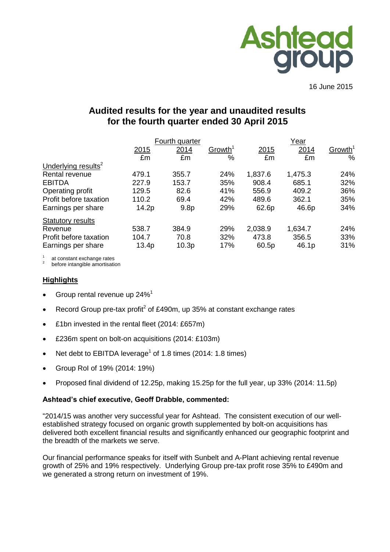

16 June 2015

# **Audited results for the year and unaudited results for the fourth quarter ended 30 April 2015**

|                                 |                   | Fourth quarter    |                     |         | <u>Year</u> |                     |  |  |
|---------------------------------|-------------------|-------------------|---------------------|---------|-------------|---------------------|--|--|
|                                 | 2015              | 2014              | Growth <sup>1</sup> | 2015    | 2014        | Growth <sup>1</sup> |  |  |
|                                 | £m                | £m                | %                   | £m      | £m          | %                   |  |  |
| Underlying results <sup>2</sup> |                   |                   |                     |         |             |                     |  |  |
| Rental revenue                  | 479.1             | 355.7             | 24%                 | 1,837.6 | 1,475.3     | 24%                 |  |  |
| <b>EBITDA</b>                   | 227.9             | 153.7             | 35%                 | 908.4   | 685.1       | 32%                 |  |  |
| Operating profit                | 129.5             | 82.6              | 41%                 | 556.9   | 409.2       | 36%                 |  |  |
| Profit before taxation          | 110.2             | 69.4              | 42%                 | 489.6   | 362.1       | 35%                 |  |  |
| Earnings per share              | 14.2p             | 9.8 <sub>p</sub>  | 29%                 | 62.6p   | 46.6p       | 34%                 |  |  |
| <b>Statutory results</b>        |                   |                   |                     |         |             |                     |  |  |
| Revenue                         | 538.7             | 384.9             | 29%                 | 2,038.9 | 1,634.7     | 24%                 |  |  |
| Profit before taxation          | 104.7             | 70.8              | 32%                 | 473.8   | 356.5       | 33%                 |  |  |
| Earnings per share              | 13.4 <sub>p</sub> | 10.3 <sub>p</sub> | 17%                 | 60.5p   | 46.1p       | 31%                 |  |  |

1 at constant exchange rates

2 before intangible amortisation

#### **Highlights**

- Group rental revenue up 24%<sup>1</sup>
- Record Group pre-tax profit<sup>2</sup> of £490m, up 35% at constant exchange rates
- £1bn invested in the rental fleet (2014: £657m)
- £236m spent on bolt-on acquisitions (2014: £103m)
- Net debt to EBITDA leverage<sup>1</sup> of 1.8 times (2014: 1.8 times)
- Group RoI of 19% (2014: 19%)
- Proposed final dividend of 12.25p, making 15.25p for the full year, up 33% (2014: 11.5p)

#### **Ashtead's chief executive, Geoff Drabble, commented:**

"2014/15 was another very successful year for Ashtead. The consistent execution of our wellestablished strategy focused on organic growth supplemented by bolt-on acquisitions has delivered both excellent financial results and significantly enhanced our geographic footprint and the breadth of the markets we serve.

Our financial performance speaks for itself with Sunbelt and A-Plant achieving rental revenue growth of 25% and 19% respectively. Underlying Group pre-tax profit rose 35% to £490m and we generated a strong return on investment of 19%.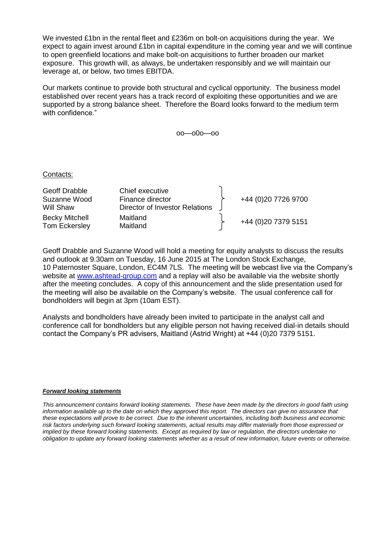We invested £1bn in the rental fleet and £236m on bolt-on acquisitions during the year. We expect to again invest around £1bn in capital expenditure in the coming year and we will continue to open greenfield locations and make bolt-on acquisitions to further broaden our market exposure. This growth will, as always, be undertaken responsibly and we will maintain our leverage at, or below, two times EBITDA.

Our markets continue to provide both structural and cyclical opportunity. The business model established over recent years has a track record of exploiting these opportunities and we are supported by a strong balance sheet. Therefore the Board looks forward to the medium term with confidence."

oo—o0o—oo

Contacts:

| Geoff Drabble<br>Suzanne Wood          | Chief executive<br>Finance director |  | +44 (0)20 7726 9700  |
|----------------------------------------|-------------------------------------|--|----------------------|
| Will Shaw                              | Director of Investor Relations      |  |                      |
| <b>Becky Mitchell</b><br>Tom Eckersley | Maitland<br>Maitland                |  | +44 (0) 20 7379 5151 |

Geoff Drabble and Suzanne Wood will hold a meeting for equity analysts to discuss the results and outlook at 9.30am on Tuesday, 16 June 2015 at The London Stock Exchange, 10 Paternoster Square, London, EC4M 7LS. The meeting will be webcast live via the Company's website at [www.ashtead-group.com](http://www.ashtead-group.com/) and a replay will also be available via the website shortly after the meeting concludes. A copy of this announcement and the slide presentation used for the meeting will also be available on the Company's website. The usual conference call for bondholders will begin at 3pm (10am EST).

Analysts and bondholders have already been invited to participate in the analyst call and conference call for bondholders but any eligible person not having received dial-in details should contact the Company's PR advisers, Maitland (Astrid Wright) at +44 (0)20 7379 5151.

#### *Forward looking statements*

*This announcement contains forward looking statements. These have been made by the directors in good faith using information available up to the date on which they approved this report. The directors can give no assurance that these expectations will prove to be correct. Due to the inherent uncertainties, including both business and economic risk factors underlying such forward looking statements, actual results may differ materially from those expressed or implied by these forward looking statements. Except as required by law or regulation, the directors undertake no obligation to update any forward looking statements whether as a result of new information, future events or otherwise.*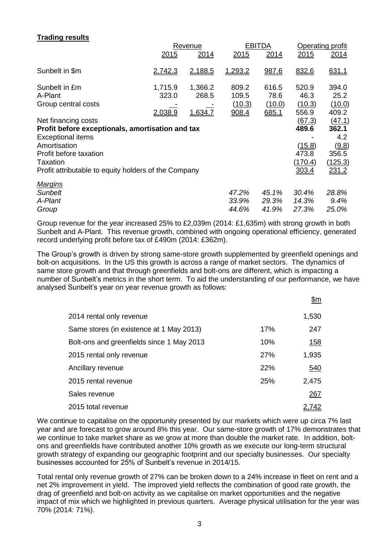# **Trading results**

| Revenue        |         |                                                                                                          | <b>EBITDA</b> |        | Operating profit  |  |
|----------------|---------|----------------------------------------------------------------------------------------------------------|---------------|--------|-------------------|--|
| 2015           | 2014    | 2015                                                                                                     | 2014          | 2015   | 2014              |  |
| 2,742.3        | 2,188.5 | 1,293.2                                                                                                  | 987.6         | 832.6  | 631.1             |  |
| 1,715.9        | 1,366.2 | 809.2                                                                                                    | 616.5         | 520.9  | 394.0             |  |
| 323.0          | 268.5   | 109.5                                                                                                    | 78.6          | 46.3   | 25.2              |  |
|                |         | (10.3)                                                                                                   | (10.0)        | (10.3) | (10.0)            |  |
| <u>2.038.9</u> | 1,634.7 | 908.4                                                                                                    |               | 556.9  | 409.2             |  |
|                |         |                                                                                                          |               | (67.3) | (47.1)            |  |
|                |         |                                                                                                          |               | 489.6  | 362.1             |  |
|                |         |                                                                                                          |               |        | 4.2               |  |
|                |         |                                                                                                          |               |        | (9.8)             |  |
|                |         |                                                                                                          |               | 473.8  | 356.5             |  |
|                |         |                                                                                                          |               |        | (125.3)           |  |
|                |         |                                                                                                          |               | 303.4  | 231.2             |  |
|                |         |                                                                                                          |               |        |                   |  |
|                |         | 47.2%                                                                                                    | 45.1%         | 30.4%  | 28.8%             |  |
|                |         | 33.9%                                                                                                    | 29.3%         | 14.3%  | 9.4%              |  |
|                |         | 44.6%                                                                                                    | 41.9%         | 27.3%  | 25.0%             |  |
|                |         | Profit before exceptionals, amortisation and tax<br>Profit attributable to equity holders of the Company |               | 685.1  | (15.8)<br>(170.4) |  |

Group revenue for the year increased 25% to £2,039m (2014: £1,635m) with strong growth in both Sunbelt and A-Plant. This revenue growth, combined with ongoing operational efficiency, generated record underlying profit before tax of £490m (2014: £362m).

The Group's growth is driven by strong same-store growth supplemented by greenfield openings and bolt-on acquisitions. In the US this growth is across a range of market sectors. The dynamics of same store growth and that through greenfields and bolt-ons are different, which is impacting a number of Sunbelt's metrics in the short term. To aid the understanding of our performance, we have analysed Sunbelt's year on year revenue growth as follows:

|                                           |            | <u>\$m</u>  |
|-------------------------------------------|------------|-------------|
| 2014 rental only revenue                  |            | 1,530       |
| Same stores (in existence at 1 May 2013)  | 17%        | 247         |
| Bolt-ons and greenfields since 1 May 2013 | 10%        | <u> 158</u> |
| 2015 rental only revenue                  | <b>27%</b> | 1,935       |
| Ancillary revenue                         | 22%        | 540         |
| 2015 rental revenue                       | 25%        | 2,475       |
| Sales revenue                             |            | 267         |
| 2015 total revenue                        |            | 2,742       |

We continue to capitalise on the opportunity presented by our markets which were up circa 7% last year and are forecast to grow around 8% this year. Our same-store growth of 17% demonstrates that we continue to take market share as we grow at more than double the market rate. In addition, boltons and greenfields have contributed another 10% growth as we execute our long-term structural growth strategy of expanding our geographic footprint and our specialty businesses. Our specialty businesses accounted for 25% of Sunbelt's revenue in 2014/15.

Total rental only revenue growth of 27% can be broken down to a 24% increase in fleet on rent and a net 2% improvement in yield. The improved yield reflects the combination of good rate growth, the drag of greenfield and bolt-on activity as we capitalise on market opportunities and the negative impact of mix which we highlighted in previous quarters. Average physical utilisation for the year was 70% (2014: 71%).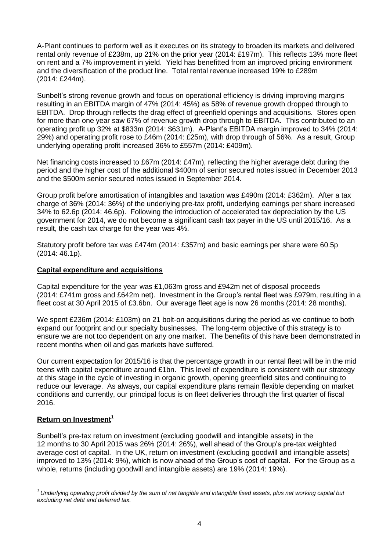A-Plant continues to perform well as it executes on its strategy to broaden its markets and delivered rental only revenue of £238m, up 21% on the prior year (2014: £197m). This reflects 13% more fleet on rent and a 7% improvement in yield. Yield has benefitted from an improved pricing environment and the diversification of the product line. Total rental revenue increased 19% to £289m (2014: £244m).

Sunbelt's strong revenue growth and focus on operational efficiency is driving improving margins resulting in an EBITDA margin of 47% (2014: 45%) as 58% of revenue growth dropped through to EBITDA. Drop through reflects the drag effect of greenfield openings and acquisitions. Stores open for more than one year saw 67% of revenue growth drop through to EBITDA. This contributed to an operating profit up 32% at \$833m (2014: \$631m). A-Plant's EBITDA margin improved to 34% (2014: 29%) and operating profit rose to £46m (2014: £25m), with drop through of 56%. As a result, Group underlying operating profit increased 36% to £557m (2014: £409m).

Net financing costs increased to £67m (2014: £47m), reflecting the higher average debt during the period and the higher cost of the additional \$400m of senior secured notes issued in December 2013 and the \$500m senior secured notes issued in September 2014.

Group profit before amortisation of intangibles and taxation was £490m (2014: £362m). After a tax charge of 36% (2014: 36%) of the underlying pre-tax profit, underlying earnings per share increased 34% to 62.6p (2014: 46.6p). Following the introduction of accelerated tax depreciation by the US government for 2014, we do not become a significant cash tax payer in the US until 2015/16. As a result, the cash tax charge for the year was 4%.

Statutory profit before tax was £474m (2014: £357m) and basic earnings per share were 60.5p (2014: 46.1p).

#### **Capital expenditure and acquisitions**

Capital expenditure for the year was £1,063m gross and £942m net of disposal proceeds (2014: £741m gross and £642m net). Investment in the Group's rental fleet was £979m, resulting in a fleet cost at 30 April 2015 of £3.6bn. Our average fleet age is now 26 months (2014: 28 months).

We spent £236m (2014: £103m) on 21 bolt-on acquisitions during the period as we continue to both expand our footprint and our specialty businesses. The long-term objective of this strategy is to ensure we are not too dependent on any one market. The benefits of this have been demonstrated in recent months when oil and gas markets have suffered.

Our current expectation for 2015/16 is that the percentage growth in our rental fleet will be in the mid teens with capital expenditure around £1bn. This level of expenditure is consistent with our strategy at this stage in the cycle of investing in organic growth, opening greenfield sites and continuing to reduce our leverage. As always, our capital expenditure plans remain flexible depending on market conditions and currently, our principal focus is on fleet deliveries through the first quarter of fiscal 2016.

#### **Return on Investment<sup>1</sup>**

Sunbelt's pre-tax return on investment (excluding goodwill and intangible assets) in the 12 months to 30 April 2015 was 26% (2014: 26%), well ahead of the Group's pre-tax weighted average cost of capital. In the UK, return on investment (excluding goodwill and intangible assets) improved to 13% (2014: 9%), which is now ahead of the Group's cost of capital. For the Group as a whole, returns (including goodwill and intangible assets) are 19% (2014: 19%).

*<sup>1</sup>Underlying operating profit divided by the sum of net tangible and intangible fixed assets, plus net working capital but excluding net debt and deferred tax.*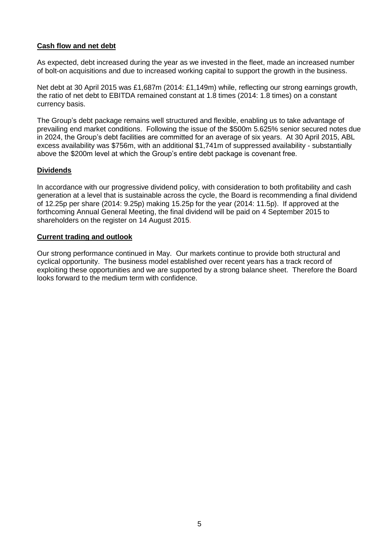## **Cash flow and net debt**

As expected, debt increased during the year as we invested in the fleet, made an increased number of bolt-on acquisitions and due to increased working capital to support the growth in the business.

Net debt at 30 April 2015 was £1,687m (2014: £1,149m) while, reflecting our strong earnings growth, the ratio of net debt to EBITDA remained constant at 1.8 times (2014: 1.8 times) on a constant currency basis.

The Group's debt package remains well structured and flexible, enabling us to take advantage of prevailing end market conditions. Following the issue of the \$500m 5.625% senior secured notes due in 2024, the Group's debt facilities are committed for an average of six years. At 30 April 2015, ABL excess availability was \$756m, with an additional \$1,741m of suppressed availability - substantially above the \$200m level at which the Group's entire debt package is covenant free.

#### **Dividends**

In accordance with our progressive dividend policy, with consideration to both profitability and cash generation at a level that is sustainable across the cycle, the Board is recommending a final dividend of 12.25p per share (2014: 9.25p) making 15.25p for the year (2014: 11.5p). If approved at the forthcoming Annual General Meeting, the final dividend will be paid on 4 September 2015 to shareholders on the register on 14 August 2015.

#### **Current trading and outlook**

Our strong performance continued in May. Our markets continue to provide both structural and cyclical opportunity. The business model established over recent years has a track record of exploiting these opportunities and we are supported by a strong balance sheet. Therefore the Board looks forward to the medium term with confidence.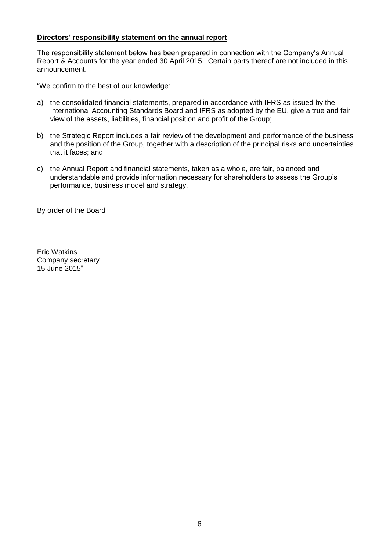## **Directors' responsibility statement on the annual report**

The responsibility statement below has been prepared in connection with the Company's Annual Report & Accounts for the year ended 30 April 2015. Certain parts thereof are not included in this announcement.

"We confirm to the best of our knowledge:

- a) the consolidated financial statements, prepared in accordance with IFRS as issued by the International Accounting Standards Board and IFRS as adopted by the EU, give a true and fair view of the assets, liabilities, financial position and profit of the Group;
- b) the Strategic Report includes a fair review of the development and performance of the business and the position of the Group, together with a description of the principal risks and uncertainties that it faces; and
- c) the Annual Report and financial statements, taken as a whole, are fair, balanced and understandable and provide information necessary for shareholders to assess the Group's performance, business model and strategy.

By order of the Board

Eric Watkins Company secretary 15 June 2015"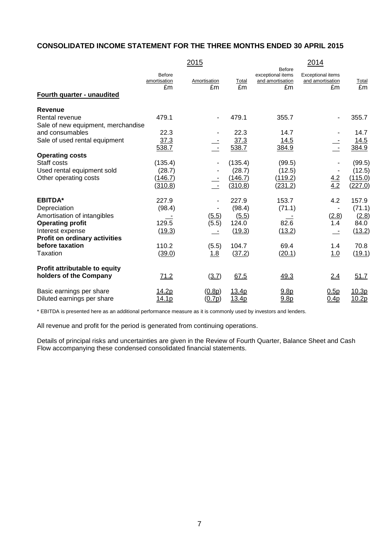# **CONSOLIDATED INCOME STATEMENT FOR THE THREE MONTHS ENDED 30 APRIL 2015**

|                                                                    |                                     | 2015                    |                              |                                                              | 2014                                               |                             |
|--------------------------------------------------------------------|-------------------------------------|-------------------------|------------------------------|--------------------------------------------------------------|----------------------------------------------------|-----------------------------|
| Fourth quarter - unaudited                                         | <b>Before</b><br>amortisation<br>£m | Amortisation<br>£m      | Total<br>£m                  | <b>Before</b><br>exceptional items<br>and amortisation<br>£m | <b>Exceptional items</b><br>and amortisation<br>£m | <b>Total</b><br>£m          |
|                                                                    |                                     |                         |                              |                                                              |                                                    |                             |
| <b>Revenue</b>                                                     |                                     |                         |                              |                                                              |                                                    |                             |
| Rental revenue<br>Sale of new equipment, merchandise               | 479.1                               |                         | 479.1                        | 355.7                                                        |                                                    | 355.7                       |
| and consumables                                                    | 22.3                                |                         | 22.3                         | 14.7                                                         |                                                    | 14.7                        |
| Sale of used rental equipment                                      | 37.3<br>538.7                       |                         | 37.3<br>538.7                | 14.5<br>384.9                                                |                                                    | 14.5<br>384.9               |
| <b>Operating costs</b>                                             |                                     |                         |                              |                                                              |                                                    |                             |
| Staff costs<br>Used rental equipment sold<br>Other operating costs | (135.4)<br>(28.7)<br>(146.7)        |                         | (135.4)<br>(28.7)<br>(146.7) | (99.5)<br>(12.5)<br>(119.2)                                  | $\frac{4.2}{4.2}$                                  | (99.5)<br>(12.5)<br>(115.0) |
|                                                                    | (310.8)                             |                         | (310.8)                      | (231.2)                                                      |                                                    | (227.0)                     |
| <b>EBITDA*</b>                                                     | 227.9                               |                         | 227.9                        | 153.7                                                        | 4.2                                                | 157.9                       |
| Depreciation                                                       | (98.4)                              |                         | (98.4)                       | (71.1)                                                       |                                                    | (71.1)                      |
| Amortisation of intangibles                                        |                                     | (5.5)                   | (5.5)                        |                                                              | (2.8)                                              | (2.8)                       |
| <b>Operating profit</b>                                            | 129.5                               | (5.5)                   | 124.0                        | 82.6                                                         | 1.4                                                | 84.0                        |
| Interest expense<br>Profit on ordinary activities                  | (19.3)                              |                         | (19.3)                       | (13.2)                                                       |                                                    | (13.2)                      |
| before taxation                                                    | 110.2                               | (5.5)                   | 104.7                        | 69.4                                                         | 1.4                                                | 70.8                        |
| Taxation                                                           | (39.0)                              | 1.8                     | (37.2)                       | (20.1)                                                       | 1.0                                                | (19.1)                      |
| Profit attributable to equity                                      |                                     |                         |                              |                                                              |                                                    |                             |
| holders of the Company                                             | 71.2                                | (3.7)                   | 67.5                         | 49.3                                                         | 2.4                                                | 51.7                        |
| Basic earnings per share<br>Diluted earnings per share             | 14.2p<br><u>14.1p</u>               | (0.8p)<br><u>(0.7p)</u> | 13.4p<br>13.4p               | 9.8 <sub>p</sub><br>9.8 <sub>p</sub>                         | 0.5p<br>0.4 <sub>D</sub>                           | 10.3p<br>10.2p              |

\* EBITDA is presented here as an additional performance measure as it is commonly used by investors and lenders.

All revenue and profit for the period is generated from continuing operations.

Details of principal risks and uncertainties are given in the Review of Fourth Quarter, Balance Sheet and Cash Flow accompanying these condensed consolidated financial statements.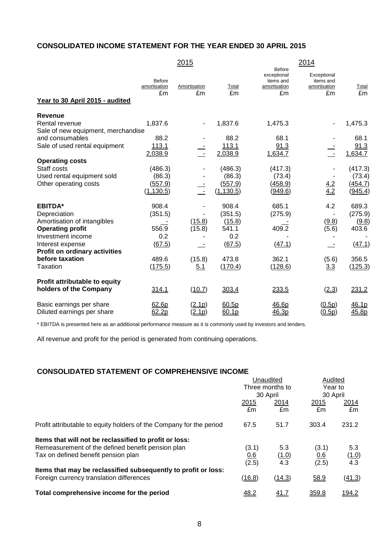# **CONSOLIDATED INCOME STATEMENT FOR THE YEAR ENDED 30 APRIL 2015**

|                                                      |                              | 2015                     |              | <b>Before</b>                                  | 2014                                           |             |
|------------------------------------------------------|------------------------------|--------------------------|--------------|------------------------------------------------|------------------------------------------------|-------------|
| Year to 30 April 2015 - audited                      | Before<br>amortisation<br>£m | Amortisation<br>£m       | Total<br>£m  | exceptional<br>items and<br>amortisation<br>£m | Exceptional<br>items and<br>amortisation<br>£m | Total<br>£m |
| Revenue                                              |                              |                          |              |                                                |                                                |             |
| Rental revenue<br>Sale of new equipment, merchandise | 1,837.6                      |                          | 1,837.6      | 1,475.3                                        |                                                | 1,475.3     |
| and consumables                                      | 88.2                         |                          | 88.2         | 68.1                                           |                                                | 68.1        |
| Sale of used rental equipment                        | 113.1                        |                          | 113.1        | 91.3                                           | $\frac{1}{\sqrt{2}}$                           | 91.3        |
|                                                      | 2,038.9                      | Ť                        | 2,038.9      | 1,634.7                                        |                                                | 1,634.7     |
| <b>Operating costs</b><br>Staff costs                | (486.3)                      |                          | (486.3)      | (417.3)                                        |                                                | (417.3)     |
| Used rental equipment sold                           | (86.3)                       |                          | (86.3)       | (73.4)                                         |                                                | (73.4)      |
| Other operating costs                                | (557.9)                      |                          | (557.9)      | (458.9)                                        |                                                | (454.7)     |
|                                                      | (1, 130.5)                   | $\overline{\phantom{a}}$ | (1, 130.5)   | (949.6)                                        | $\frac{4.2}{4.2}$                              | (945.4)     |
| <b>EBITDA*</b>                                       | 908.4                        |                          | 908.4        | 685.1                                          | 4.2                                            | 689.3       |
| Depreciation                                         | (351.5)                      |                          | (351.5)      | (275.9)                                        |                                                | (275.9)     |
| Amortisation of intangibles                          |                              | (15.8)                   | (15.8)       |                                                | (9.8)                                          | (9.8)       |
| <b>Operating profit</b><br>Investment income         | 556.9<br>0.2                 | (15.8)                   | 541.1<br>0.2 | 409.2                                          | (5.6)                                          | 403.6       |
| Interest expense                                     | (67.5)                       |                          | (67.5)       | (47.1)                                         |                                                | (47.1)      |
| Profit on ordinary activities                        |                              |                          |              |                                                |                                                |             |
| before taxation                                      | 489.6                        | (15.8)                   | 473.8        | 362.1                                          | (5.6)                                          | 356.5       |
| Taxation                                             | (175.5)                      | 5.1                      | (170.4)      | (128.6)                                        | 3.3                                            | (125.3)     |
| Profit attributable to equity                        |                              |                          |              |                                                |                                                |             |
| holders of the Company                               | 314.1                        | (10.7)                   | 303.4        | 233.5                                          | (2.3)                                          | 231.2       |
| Basic earnings per share                             | 62.6p                        | (2.1p)                   | 60.5p        | 46.6p                                          | (0.5p)                                         | 46.1p       |
| Diluted earnings per share                           | 62.2p                        | <u>(2.1p)</u>            | 60.1p        | 46.3p                                          | (0.5p)                                         | 45.8p       |

\* EBITDA is presented here as an additional performance measure as it is commonly used by investors and lenders.

All revenue and profit for the period is generated from continuing operations.

#### **CONSOLIDATED STATEMENT OF COMPREHENSIVE INCOME**

|                                                                     | Unaudited<br>Three months to<br>30 April |             |       | Audited<br>Year to<br>30 April |  |
|---------------------------------------------------------------------|------------------------------------------|-------------|-------|--------------------------------|--|
|                                                                     |                                          |             |       |                                |  |
|                                                                     | 2015                                     | 2014        | 2015  | 2014                           |  |
|                                                                     | £m                                       | £m          | £m    | £m                             |  |
| Profit attributable to equity holders of the Company for the period | 67.5                                     | 51.7        | 303.4 | 231.2                          |  |
| Items that will not be reclassified to profit or loss:              |                                          |             |       |                                |  |
| Remeasurement of the defined benefit pension plan                   | (3.1)                                    | 5.3         | (3.1) | 5.3                            |  |
| Tax on defined benefit pension plan                                 | <u>0.6</u>                               | (1.0)       | 0.6   | (1.0)                          |  |
|                                                                     | (2.5)                                    | 4.3         | (2.5) | 4.3                            |  |
| Items that may be reclassified subsequently to profit or loss:      |                                          |             |       |                                |  |
| Foreign currency translation differences                            | (16.8)                                   | (14.3)      | 58.9  | (41.3)                         |  |
| Total comprehensive income for the period                           | 48.2                                     | <u>41.7</u> | 359.8 | <u> 194.2</u>                  |  |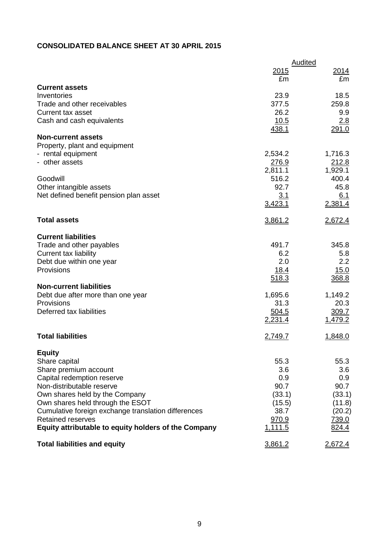# **CONSOLIDATED BALANCE SHEET AT 30 APRIL 2015**

|                                                                                 | Audited        |                        |  |
|---------------------------------------------------------------------------------|----------------|------------------------|--|
|                                                                                 | 2015<br>£m     | 2014<br>£m             |  |
| <b>Current assets</b>                                                           |                |                        |  |
| Inventories                                                                     | 23.9           | 18.5                   |  |
| Trade and other receivables                                                     | 377.5          | 259.8                  |  |
| <b>Current tax asset</b>                                                        | 26.2           | 9.9                    |  |
| Cash and cash equivalents                                                       | 10.5           | 2.8<br>291.0           |  |
| <b>Non-current assets</b>                                                       | 438.1          |                        |  |
| Property, plant and equipment                                                   |                |                        |  |
| - rental equipment                                                              | 2,534.2        | 1,716.3                |  |
| - other assets                                                                  | 276.9          | 212.8                  |  |
|                                                                                 | 2,811.1        | 1,929.1                |  |
| Goodwill                                                                        | 516.2          | 400.4                  |  |
| Other intangible assets                                                         | 92.7           | 45.8                   |  |
| Net defined benefit pension plan asset                                          | 3.1            | 6.1                    |  |
|                                                                                 | 3,423.1        | 2,381.4                |  |
| <b>Total assets</b>                                                             | 3,861.2        | 2,672.4                |  |
| <b>Current liabilities</b>                                                      |                |                        |  |
| Trade and other payables                                                        | 491.7          | 345.8                  |  |
| Current tax liability                                                           | 6.2            | 5.8                    |  |
| Debt due within one year                                                        | 2.0            | 2.2                    |  |
| Provisions                                                                      | <u>18.4</u>    | 15.0                   |  |
|                                                                                 | 518.3          | 368.8                  |  |
| <b>Non-current liabilities</b>                                                  |                |                        |  |
| Debt due after more than one year                                               | 1,695.6        | 1,149.2                |  |
| Provisions<br>Deferred tax liabilities                                          | 31.3<br>504.5  | 20.3<br>309.7          |  |
|                                                                                 | <u>2,231.4</u> | 1,479.2                |  |
|                                                                                 |                |                        |  |
| <b>Total liabilities</b>                                                        | <u>2,749.7</u> | 1,848.0                |  |
| <b>Equity</b>                                                                   |                |                        |  |
| Share capital                                                                   | 55.3           | 55.3                   |  |
| Share premium account                                                           | 3.6            | 3.6                    |  |
| Capital redemption reserve                                                      | 0.9            | 0.9                    |  |
| Non-distributable reserve                                                       | 90.7           | 90.7                   |  |
| Own shares held by the Company                                                  | (33.1)         | (33.1)                 |  |
| Own shares held through the ESOT                                                | (15.5)<br>38.7 | (11.8)                 |  |
| Cumulative foreign exchange translation differences<br><b>Retained reserves</b> | 970.9          | (20.2)<br><u>739.0</u> |  |
| Equity attributable to equity holders of the Company                            | <u>1,111.5</u> | 824.4                  |  |
|                                                                                 |                |                        |  |
| <b>Total liabilities and equity</b>                                             | 3,861.2        | 2.672.4                |  |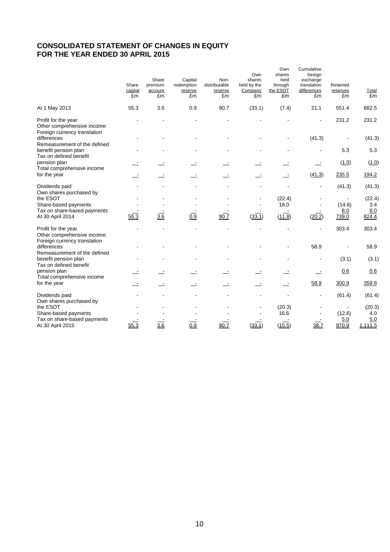## **CONSOLIDATED STATEMENT OF CHANGES IN EQUITY FOR THE YEAR ENDED 30 APRIL 2015**

|                                                                                     | Share<br>capital<br>£m           | Share<br>premium<br>account<br>£m | Capital<br>redemption<br>reserve<br>£m | Non-<br>distributable<br>reserve<br>£m | Own<br>shares<br>held by the<br>Company<br>£m | Own<br>shares<br>held<br>through<br>the ESOT<br>£m | Cumulative<br>foreign<br>exchange<br>translation<br>differences<br>£m | Retained<br>reserves<br>£m | Total<br>£m                   |
|-------------------------------------------------------------------------------------|----------------------------------|-----------------------------------|----------------------------------------|----------------------------------------|-----------------------------------------------|----------------------------------------------------|-----------------------------------------------------------------------|----------------------------|-------------------------------|
| At 1 May 2013                                                                       | 55.3                             | 3.6                               | 0.9                                    | 90.7                                   | (33.1)                                        | (7.4)                                              | 21.1                                                                  | 551.4                      | 682.5                         |
| Profit for the year<br>Other comprehensive income:<br>Foreign currency translation  |                                  |                                   |                                        |                                        |                                               |                                                    |                                                                       | 231.2                      | 231.2                         |
| differences                                                                         |                                  |                                   |                                        |                                        |                                               |                                                    | (41.3)                                                                |                            | (41.3)                        |
| Remeasurement of the defined<br>benefit pension plan<br>Tax on defined benefit      |                                  |                                   |                                        |                                        |                                               |                                                    |                                                                       | 5.3                        | 5.3                           |
| pension plan                                                                        |                                  |                                   |                                        |                                        |                                               |                                                    |                                                                       | (1.0)                      | (1.0)                         |
| Total comprehensive income<br>for the year                                          |                                  |                                   |                                        |                                        |                                               |                                                    | (41.3)                                                                | 235.5                      | 194.2                         |
| Dividends paid<br>Own shares purchased by                                           |                                  |                                   |                                        |                                        |                                               |                                                    | $\overline{a}$                                                        | (41.3)                     | (41.3)                        |
| the ESOT<br>Share-based payments<br>Tax on share-based payments<br>At 30 April 2014 | $\overline{\phantom{a}}$<br>55.3 | $\frac{3.6}{3.6}$                 | 0.9                                    | 90.7                                   | (33.1)                                        | (22.4)<br>18.0<br>(11.8)                           | (20.2)                                                                | (14.6)<br>8.0<br>739.0     | (22.4)<br>3.4<br>8.0<br>824.4 |
| Profit for the year<br>Other comprehensive income:<br>Foreign currency translation  |                                  |                                   |                                        |                                        |                                               |                                                    | $\blacksquare$                                                        | 303.4                      | 303.4                         |
| differences<br>Remeasurement of the defined                                         |                                  |                                   |                                        |                                        |                                               |                                                    | 58.9                                                                  |                            | 58.9                          |
| benefit pension plan<br>Tax on defined benefit                                      |                                  |                                   |                                        |                                        |                                               |                                                    |                                                                       | (3.1)                      | (3.1)                         |
| pension plan<br>Total comprehensive income                                          |                                  |                                   |                                        |                                        |                                               |                                                    | $\equiv$                                                              | 0.6                        | 0.6                           |
| for the year                                                                        |                                  |                                   |                                        |                                        |                                               |                                                    | 58.9                                                                  | 300.9                      | 359.8                         |
| Dividends paid<br>Own shares purchased by                                           |                                  |                                   |                                        |                                        |                                               |                                                    |                                                                       | (61.4)                     | (61.4)                        |
| the ESOT<br>Share-based payments                                                    |                                  |                                   |                                        |                                        |                                               | (20.3)<br>16.6                                     |                                                                       | $\sim$<br>(12.6)           | (20.3)<br>4.0                 |
| Tax on share-based payments<br>At 30 April 2015                                     | 55.3                             | 3.6                               | 0.9                                    | 90.7                                   | (33.1)                                        | (15.5)                                             | 38.7                                                                  | 5.0<br>970.9               | 5.0<br>1,111.5                |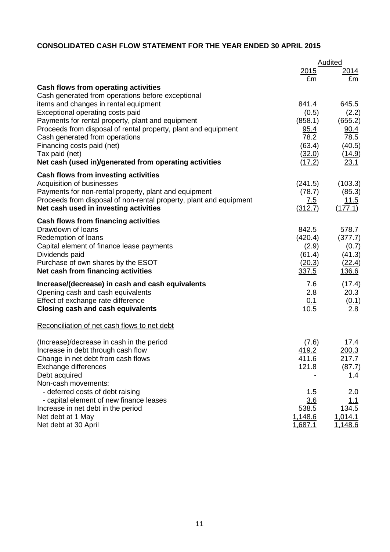# **CONSOLIDATED CASH FLOW STATEMENT FOR THE YEAR ENDED 30 APRIL 2015**

|                                                                                       |                  | Audited          |
|---------------------------------------------------------------------------------------|------------------|------------------|
|                                                                                       | 2015             | 2014             |
|                                                                                       | £m               | £m               |
| Cash flows from operating activities                                                  |                  |                  |
| Cash generated from operations before exceptional                                     | 841.4            | 645.5            |
| items and changes in rental equipment<br>Exceptional operating costs paid             | (0.5)            | (2.2)            |
| Payments for rental property, plant and equipment                                     | (858.1)          | (655.2)          |
| Proceeds from disposal of rental property, plant and equipment                        | 95.4             | 90.4             |
| Cash generated from operations                                                        | 78.2             | 78.5             |
| Financing costs paid (net)                                                            | (63.4)           | (40.5)           |
| Tax paid (net)                                                                        | (32.0)           | (14.9)           |
| Net cash (used in)/generated from operating activities                                | (17.2)           | 23.1             |
| Cash flows from investing activities                                                  |                  |                  |
| Acquisition of businesses                                                             | (241.5)          | (103.3)          |
| Payments for non-rental property, plant and equipment                                 | (78.7)           | (85.3)           |
| Proceeds from disposal of non-rental property, plant and equipment                    | <u>7.5</u>       | <u> 11.5</u>     |
| Net cash used in investing activities                                                 | (312.7)          | (177.1)          |
| <b>Cash flows from financing activities</b>                                           |                  |                  |
| Drawdown of loans                                                                     | 842.5            | 578.7            |
| Redemption of loans                                                                   | (420.4)          | (377.7)          |
| Capital element of finance lease payments<br>Dividends paid                           | (2.9)<br>(61.4)  | (0.7)<br>(41.3)  |
| Purchase of own shares by the ESOT                                                    | (20.3)           | <u>(22.4)</u>    |
| Net cash from financing activities                                                    | 337.5            | <u>136.6</u>     |
|                                                                                       | 7.6              |                  |
| Increase/(decrease) in cash and cash equivalents<br>Opening cash and cash equivalents | 2.8              | (17.4)<br>20.3   |
| Effect of exchange rate difference                                                    | 0.1              | (0.1)            |
| <b>Closing cash and cash equivalents</b>                                              | <u>10.5</u>      | 2.8              |
| Reconciliation of net cash flows to net debt                                          |                  |                  |
| (Increase)/decrease in cash in the period                                             | (7.6)            | 17.4             |
| Increase in debt through cash flow                                                    | 419.2            | 200.3            |
| Change in net debt from cash flows                                                    | 411.6            | 217.7            |
| Exchange differences                                                                  | 121.8            | (87.7)           |
| Debt acquired                                                                         |                  | 1.4              |
| Non-cash movements:                                                                   |                  |                  |
| - deferred costs of debt raising                                                      | 1.5              | 2.0              |
| - capital element of new finance leases                                               | 3.6              | 1.1              |
| Increase in net debt in the period<br>Net debt at 1 May                               | 538.5<br>1,148.6 | 134.5<br>1,014.1 |
| Net debt at 30 April                                                                  | 1,687.1          | 1,148.6          |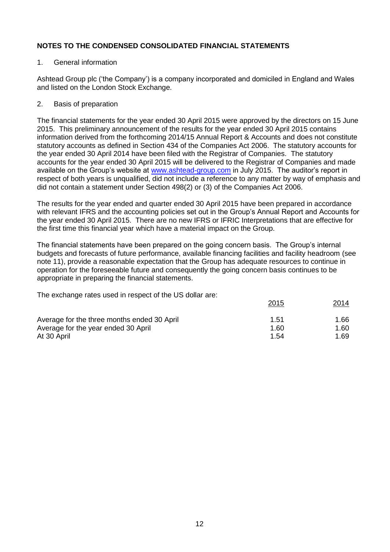#### 1. General information

Ashtead Group plc ('the Company') is a company incorporated and domiciled in England and Wales and listed on the London Stock Exchange.

#### 2. Basis of preparation

The financial statements for the year ended 30 April 2015 were approved by the directors on 15 June 2015. This preliminary announcement of the results for the year ended 30 April 2015 contains information derived from the forthcoming 2014/15 Annual Report & Accounts and does not constitute statutory accounts as defined in Section 434 of the Companies Act 2006. The statutory accounts for the year ended 30 April 2014 have been filed with the Registrar of Companies. The statutory accounts for the year ended 30 April 2015 will be delivered to the Registrar of Companies and made available on the Group's website at [www.ashtead-group.com](http://www.ashtead-group.com/) in July 2015. The auditor's report in respect of both years is unqualified, did not include a reference to any matter by way of emphasis and did not contain a statement under Section 498(2) or (3) of the Companies Act 2006.

The results for the year ended and quarter ended 30 April 2015 have been prepared in accordance with relevant IFRS and the accounting policies set out in the Group's Annual Report and Accounts for the year ended 30 April 2015. There are no new IFRS or IFRIC Interpretations that are effective for the first time this financial year which have a material impact on the Group.

The financial statements have been prepared on the going concern basis. The Group's internal budgets and forecasts of future performance, available financing facilities and facility headroom (see note 11), provide a reasonable expectation that the Group has adequate resources to continue in operation for the foreseeable future and consequently the going concern basis continues to be appropriate in preparing the financial statements.

The exchange rates used in respect of the US dollar are:

|                                             | 2015 | 2014 |
|---------------------------------------------|------|------|
| Average for the three months ended 30 April | 1.51 | 1.66 |
| Average for the year ended 30 April         | 1.60 | 1.60 |
| At 30 April                                 | 1.54 | 1.69 |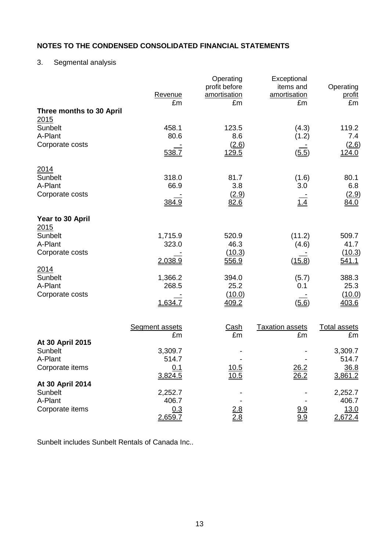# 3. Segmental analysis

|                                         | Revenue<br>£m         | Operating<br>profit before<br>amortisation<br>£m | Exceptional<br>items and<br>amortisation<br>£m | Operating<br>profit<br>£m |
|-----------------------------------------|-----------------------|--------------------------------------------------|------------------------------------------------|---------------------------|
| Three months to 30 April<br><u>2015</u> |                       |                                                  |                                                |                           |
| Sunbelt                                 | 458.1                 | 123.5                                            | (4.3)                                          | 119.2                     |
| A-Plant<br>Corporate costs              | 80.6                  | 8.6<br>(2.6)                                     | (1.2)                                          | 7.4<br>(2.6)              |
|                                         | 538.7                 | 129.5                                            | (5.5)                                          | <u>124.0</u>              |
| 2014                                    |                       |                                                  |                                                |                           |
| Sunbelt<br>A-Plant                      | 318.0<br>66.9         | 81.7<br>3.8                                      | (1.6)<br>3.0                                   | 80.1<br>6.8               |
| Corporate costs                         |                       | (2.9)                                            |                                                | (2.9)                     |
|                                         | 384.9                 | 82.6                                             | 1.4                                            | 84.0                      |
| Year to 30 April<br>2015                |                       |                                                  |                                                |                           |
| Sunbelt                                 | 1,715.9               | 520.9                                            | (11.2)                                         | 509.7                     |
| A-Plant<br>Corporate costs              | 323.0                 | 46.3<br>(10.3)                                   | (4.6)                                          | 41.7<br>(10.3)            |
|                                         | 2,038.9               | 556.9                                            | (15.8)                                         | <u>541.1</u>              |
| 2014<br>Sunbelt                         | 1,366.2               | 394.0                                            | (5.7)                                          | 388.3                     |
| A-Plant                                 | 268.5                 | 25.2                                             | 0.1                                            | 25.3                      |
| Corporate costs                         | 1,634.7               | (10.0)                                           |                                                | (10.0)<br>403.6           |
|                                         |                       | 409.2                                            | (5.6)                                          |                           |
|                                         | <b>Segment assets</b> | <u>Cash</u>                                      | <b>Taxation assets</b>                         | <b>Total assets</b>       |
| At 30 April 2015                        | £m                    | £m                                               | £m                                             | £m                        |
| Sunbelt                                 | 3,309.7               |                                                  |                                                | 3,309.7                   |
| A-Plant<br>Corporate items              | 514.7<br>0.1          | 10.5                                             | 26.2                                           | 514.7<br>36.8             |
|                                         | 3,824.5               | 10.5                                             | 26.2                                           | 3,861.2                   |
| At 30 April 2014<br>Sunbelt             | 2,252.7               |                                                  |                                                | 2,252.7                   |
| A-Plant                                 | 406.7                 |                                                  |                                                | 406.7                     |
| Corporate items                         | 0.3<br>2,659.7        | $\frac{2.8}{2.8}$                                | <u>9.9</u><br>9.9                              | 13.0<br>2,672.4           |

Sunbelt includes Sunbelt Rentals of Canada Inc..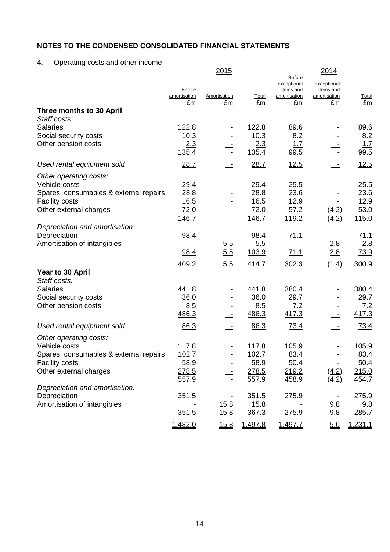4. Operating costs and other income

|                                                 |                                     | 2015               |               | <b>Before</b>                                  | 2014                                           |                    |
|-------------------------------------------------|-------------------------------------|--------------------|---------------|------------------------------------------------|------------------------------------------------|--------------------|
|                                                 | <b>Before</b><br>amortisation<br>£m | Amortisation<br>£m | Total<br>£m   | exceptional<br>items and<br>amortisation<br>£m | Exceptional<br>items and<br>amortisation<br>£m | <b>Total</b><br>£m |
| Three months to 30 April                        |                                     |                    |               |                                                |                                                |                    |
| Staff costs:                                    |                                     |                    |               |                                                |                                                |                    |
| <b>Salaries</b><br>Social security costs        | 122.8<br>10.3                       |                    | 122.8<br>10.3 | 89.6<br>8.2                                    |                                                | 89.6<br>8.2        |
| Other pension costs                             | 2.3                                 |                    | 2.3           | 1.7                                            |                                                | 1.7                |
|                                                 | 135.4                               |                    | 135.4         | 99.5                                           |                                                | 99.5               |
| Used rental equipment sold                      | 28.7                                |                    | 28.7          | 12.5                                           |                                                | 12.5               |
| Other operating costs:                          |                                     |                    |               |                                                |                                                |                    |
| Vehicle costs                                   | 29.4                                |                    | 29.4          | 25.5                                           |                                                | 25.5               |
| Spares, consumables & external repairs          | 28.8<br>16.5                        |                    | 28.8<br>16.5  | 23.6<br>12.9                                   |                                                | 23.6<br>12.9       |
| <b>Facility costs</b><br>Other external charges | 72.0                                |                    | 72.0          | 57.2                                           | (4.2)                                          | 53.0               |
|                                                 | 146.7                               |                    | 146.7         | 119.2                                          | (4.2)                                          | 115.0              |
| Depreciation and amortisation:                  |                                     |                    |               |                                                |                                                |                    |
| Depreciation                                    | 98.4                                |                    | 98.4          | 71.1                                           |                                                | 71.1               |
| Amortisation of intangibles                     |                                     | 5.5                | 5.5           |                                                | 2.8                                            | 2.8                |
|                                                 | 98.4                                | 5.5                | 103.9         | 71.1                                           | 2.8                                            | 73.9               |
|                                                 | 409.2                               | 5.5                | 414.7         | 302.3                                          | (1.4)                                          | 300.9              |
| Year to 30 April                                |                                     |                    |               |                                                |                                                |                    |
| Staff costs:                                    |                                     |                    |               |                                                |                                                |                    |
| <b>Salaries</b>                                 | 441.8<br>36.0                       |                    | 441.8<br>36.0 | 380.4<br>29.7                                  |                                                | 380.4<br>29.7      |
| Social security costs<br>Other pension costs    | 8.5                                 |                    | 8.5           | 7.2                                            |                                                | <u>7.2</u>         |
|                                                 | 486.3                               |                    | 486.3         | 417.3                                          |                                                | 417.3              |
| Used rental equipment sold                      | 86.3                                |                    | 86.3          | 73.4                                           |                                                | 73.4               |
| Other operating costs:                          |                                     |                    |               |                                                |                                                |                    |
| Vehicle costs                                   | 117.8                               |                    | 117.8         | 105.9                                          |                                                | 105.9              |
| Spares, consumables & external repairs          | 102.7                               |                    | 102.7         | 83.4                                           |                                                | 83.4               |
| <b>Facility costs</b>                           | 58.9                                |                    | 58.9          | 50.4                                           |                                                | 50.4               |
| Other external charges                          | 278.5                               |                    | 278.5         | 219.2                                          | (4.2)                                          | 215.0              |
| Depreciation and amortisation:                  | 557.9                               |                    | 557.9         | 458.9                                          | (4.2)                                          | 454.7              |
| Depreciation                                    | 351.5                               |                    | 351.5         | 275.9                                          |                                                | 275.9              |
| Amortisation of intangibles                     |                                     | <u> 15.8</u>       | <u>15.8</u>   |                                                | 9.8                                            | <u>9.8</u>         |
|                                                 | 351.5                               | 15.8               | 367.3         | 275.9                                          | 9.8                                            | 285.7              |
|                                                 | 1,482.0                             | 15.8               | 1,497.8       | 1,497.7                                        | 5.6                                            | 1,231.1            |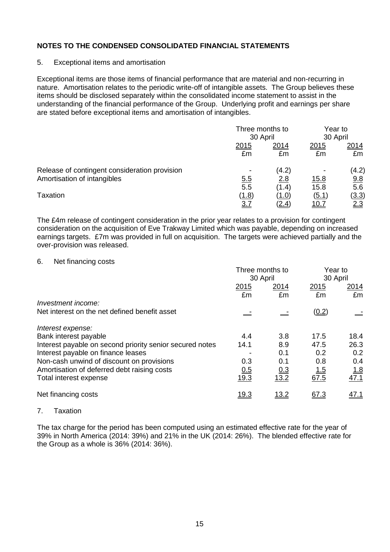#### 5. Exceptional items and amortisation

Exceptional items are those items of financial performance that are material and non-recurring in nature. Amortisation relates to the periodic write-off of intangible assets. The Group believes these items should be disclosed separately within the consolidated income statement to assist in the understanding of the financial performance of the Group. Underlying profit and earnings per share are stated before exceptional items and amortisation of intangibles.

|                                               | Three months to<br>30 April |              |              | Year to<br>30 April |  |
|-----------------------------------------------|-----------------------------|--------------|--------------|---------------------|--|
|                                               | 2015<br>£m                  | 2014<br>£m   | 2015<br>£m   | 2014<br>£m          |  |
| Release of contingent consideration provision |                             | (4.2)        | ۰            | (4.2)               |  |
| Amortisation of intangibles                   | <u>5.5</u>                  | 2.8          | <u>15.8</u>  | 9.8                 |  |
|                                               | 5.5                         | (1.4)        | 15.8         | 5.6                 |  |
| <b>Taxation</b>                               | <u>(1.8)</u>                | (1.0)        | (5.1)        | <u>(3.3)</u>        |  |
|                                               | <u>3.7</u>                  | <u>(2.4)</u> | <u> 10.7</u> | <u>2.3</u>          |  |

The £4m release of contingent consideration in the prior year relates to a provision for contingent consideration on the acquisition of Eve Trakway Limited which was payable, depending on increased earnings targets. £7m was provided in full on acquisition. The targets were achieved partially and the over-provision was released.

#### 6. Net financing costs

|                                                          | Three months to<br>30 April |             | Year to<br>30 April |                    |
|----------------------------------------------------------|-----------------------------|-------------|---------------------|--------------------|
|                                                          | 2015<br>£m                  | 2014<br>£m  | 2015<br>£m          | 2014<br>£m         |
| Investment income:                                       |                             |             |                     |                    |
| Net interest on the net defined benefit asset            |                             |             | (0.2)               |                    |
| Interest expense:                                        |                             |             |                     |                    |
| Bank interest payable                                    | 4.4                         | 3.8         | 17.5                | 18.4               |
| Interest payable on second priority senior secured notes | 14.1                        | 8.9         | 47.5                | 26.3               |
| Interest payable on finance leases                       |                             | 0.1         | 0.2                 | 0.2                |
| Non-cash unwind of discount on provisions                | 0.3                         | 0.1         | 0.8                 | 0.4                |
| Amortisation of deferred debt raising costs              | 0.5                         | 0.3         | <u>1.5</u>          |                    |
| Total interest expense                                   | 19.3                        | 13.2        | 67.5                | $\frac{1.8}{47.1}$ |
| Net financing costs                                      | <u>19.3</u>                 | <u>13.2</u> | 67.3                | <u>47.1</u>        |

7. Taxation

The tax charge for the period has been computed using an estimated effective rate for the year of 39% in North America (2014: 39%) and 21% in the UK (2014: 26%). The blended effective rate for the Group as a whole is 36% (2014: 36%).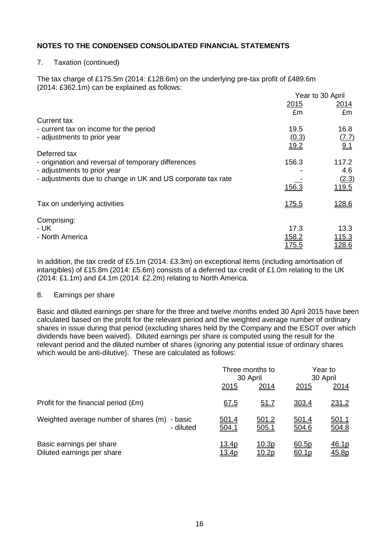#### 7. Taxation (continued)

The tax charge of £175.5m (2014: £128.6m) on the underlying pre-tax profit of £489.6m (2014: £362.1m) can be explained as follows:  $Y_{\text{c}}$  and  $\sim$  30 April

|                                                             | Year to 30 April |                       |  |
|-------------------------------------------------------------|------------------|-----------------------|--|
|                                                             | 2015<br>£m       | 2014<br>£m            |  |
| Current tax                                                 |                  |                       |  |
| - current tax on income for the period                      | 19.5             | 16.8                  |  |
| - adjustments to prior year                                 | (0.3)<br>19.2    | (7.7)<br>9.1          |  |
| Deferred tax                                                |                  |                       |  |
| - origination and reversal of temporary differences         | 156.3            | 117.2                 |  |
| - adjustments to prior year                                 |                  | 4.6                   |  |
| - adjustments due to change in UK and US corporate tax rate | 156.3            | (2.3)<br><u>119.5</u> |  |
| Tax on underlying activities                                | <u>175.5</u>     | <u>128.6</u>          |  |
| Comprising:                                                 |                  |                       |  |
| - UK                                                        | 17.3             | 13.3                  |  |
| - North America                                             | 158.2            | <u> 115.3</u>         |  |
|                                                             | <u> 175.5</u>    | 128.6                 |  |

In addition, the tax credit of £5.1m (2014: £3.3m) on exceptional items (including amortisation of intangibles) of £15.8m (2014: £5.6m) consists of a deferred tax credit of £1.0m relating to the UK (2014: £1.1m) and £4.1m (2014: £2.2m) relating to North America.

#### 8. Earnings per share

Basic and diluted earnings per share for the three and twelve months ended 30 April 2015 have been calculated based on the profit for the relevant period and the weighted average number of ordinary shares in issue during that period (excluding shares held by the Company and the ESOT over which dividends have been waived). Diluted earnings per share is computed using the result for the relevant period and the diluted number of shares (ignoring any potential issue of ordinary shares which would be anti-dilutive). These are calculated as follows:

|                                                               |                       | Three months to<br>30 April |                            | Year to<br>30 April   |  |
|---------------------------------------------------------------|-----------------------|-----------------------------|----------------------------|-----------------------|--|
|                                                               | 2015                  | 2014                        | 2015                       | 2014                  |  |
| Profit for the financial period (£m)                          | 67.5                  | <u>51.7</u>                 | 303.4                      | 231.2                 |  |
| Weighted average number of shares (m)<br>- basic<br>- diluted | <u>501.4</u><br>504.1 | 501.2<br>505.1              | 501.4<br>504.6             | <u>501.1</u><br>504.8 |  |
| Basic earnings per share<br>Diluted earnings per share        | 13.4p<br><u>13.4p</u> | 10.3p<br><u> 10.2p</u>      | 60.5p<br>60.1 <sub>p</sub> | <u>46.1p</u><br>45.8p |  |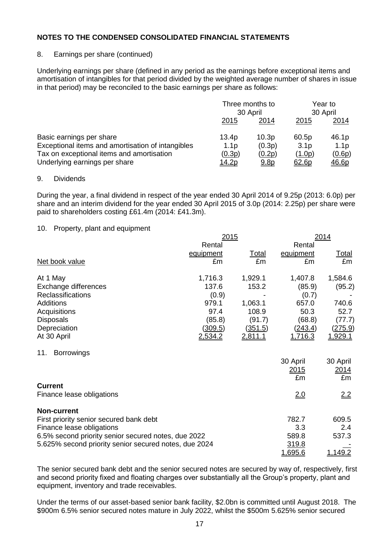## 8. Earnings per share (continued)

Underlying earnings per share (defined in any period as the earnings before exceptional items and amortisation of intangibles for that period divided by the weighted average number of shares in issue in that period) may be reconciled to the basic earnings per share as follows:

|                                                   | Three months to<br>30 April |                   | Year to<br>30 April |                  |
|---------------------------------------------------|-----------------------------|-------------------|---------------------|------------------|
|                                                   | 2015                        | <u> 2014</u>      | 2015                | 2014             |
| Basic earnings per share                          | 13.4p                       | 10.3 <sub>p</sub> | 60.5p               | 46.1p            |
| Exceptional items and amortisation of intangibles | 1.1 <sub>p</sub>            | (0.3p)            | 3.1 <sub>p</sub>    | 1.1 <sub>p</sub> |
| Tax on exceptional items and amortisation         | (0.3p)                      | (0.2p)            | (1.0p)              | (0.6p)           |
| Underlying earnings per share                     | <u> 14.2p</u>               | 9.8 <sub>p</sub>  | 62.6p               | <u>46.6p</u>     |

#### 9. Dividends

During the year, a final dividend in respect of the year ended 30 April 2014 of 9.25p (2013: 6.0p) per share and an interim dividend for the year ended 30 April 2015 of 3.0p (2014: 2.25p) per share were paid to shareholders costing £61.4m (2014: £41.3m).

#### 10. Property, plant and equipment

|                                                       | 2015           |                |                | 2014           |  |
|-------------------------------------------------------|----------------|----------------|----------------|----------------|--|
|                                                       | Rental         |                | Rental         |                |  |
|                                                       | equipment      | <u>Total</u>   | equipment      | <u>Total</u>   |  |
| Net book value                                        | £m             | £m             | £m             | £m             |  |
| At 1 May                                              | 1,716.3        | 1,929.1        | 1,407.8        | 1,584.6        |  |
| Exchange differences                                  | 137.6          | 153.2          | (85.9)         | (95.2)         |  |
| <b>Reclassifications</b>                              | (0.9)          |                | (0.7)          |                |  |
| <b>Additions</b>                                      | 979.1          | 1,063.1        | 657.0          | 740.6          |  |
| Acquisitions                                          | 97.4           | 108.9          | 50.3           | 52.7           |  |
| <b>Disposals</b>                                      | (85.8)         | (91.7)         | (68.8)         | (77.7)         |  |
| Depreciation                                          | <u>(309.5)</u> | (351.5)        | (243.4)        | (275.9)        |  |
| At 30 April                                           | <u>2,534.2</u> | <u>2,811.1</u> | <u>1,716.3</u> | <u>1,929.1</u> |  |
| <b>Borrowings</b><br>11.                              |                |                |                |                |  |
|                                                       |                |                | 30 April       | 30 April       |  |
|                                                       |                |                | 2015           | <u> 2014 </u>  |  |
|                                                       |                |                | £m             | £m             |  |
| <b>Current</b>                                        |                |                |                |                |  |
| Finance lease obligations                             |                |                | <u>2.0</u>     | <u>2.2</u>     |  |
| <b>Non-current</b>                                    |                |                |                |                |  |
| First priority senior secured bank debt               |                |                | 782.7          | 609.5          |  |
| Finance lease obligations                             |                |                | 3.3            | 2.4            |  |
| 6.5% second priority senior secured notes, due 2022   |                |                | 589.8          | 537.3          |  |
| 5.625% second priority senior secured notes, due 2024 |                |                | 319.8          |                |  |
|                                                       |                |                | <u>1,695.6</u> | 1,149.2        |  |

The senior secured bank debt and the senior secured notes are secured by way of, respectively, first and second priority fixed and floating charges over substantially all the Group's property, plant and equipment, inventory and trade receivables.

Under the terms of our asset-based senior bank facility, \$2.0bn is committed until August 2018. The \$900m 6.5% senior secured notes mature in July 2022, whilst the \$500m 5.625% senior secured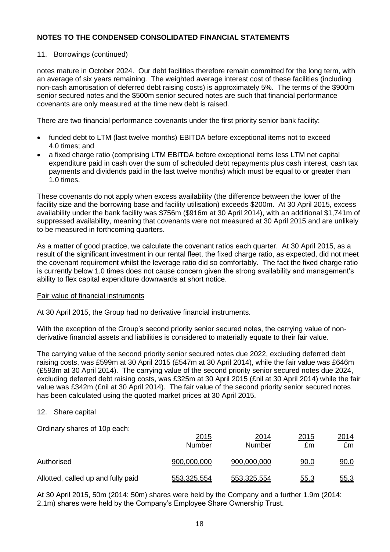## 11. Borrowings (continued)

notes mature in October 2024. Our debt facilities therefore remain committed for the long term, with an average of six years remaining. The weighted average interest cost of these facilities (including non-cash amortisation of deferred debt raising costs) is approximately 5%. The terms of the \$900m senior secured notes and the \$500m senior secured notes are such that financial performance covenants are only measured at the time new debt is raised.

There are two financial performance covenants under the first priority senior bank facility:

- funded debt to LTM (last twelve months) EBITDA before exceptional items not to exceed 4.0 times; and
- a fixed charge ratio (comprising LTM EBITDA before exceptional items less LTM net capital expenditure paid in cash over the sum of scheduled debt repayments plus cash interest, cash tax payments and dividends paid in the last twelve months) which must be equal to or greater than 1.0 times.

These covenants do not apply when excess availability (the difference between the lower of the facility size and the borrowing base and facility utilisation) exceeds \$200m. At 30 April 2015, excess availability under the bank facility was \$756m (\$916m at 30 April 2014), with an additional \$1,741m of suppressed availability, meaning that covenants were not measured at 30 April 2015 and are unlikely to be measured in forthcoming quarters.

As a matter of good practice, we calculate the covenant ratios each quarter. At 30 April 2015, as a result of the significant investment in our rental fleet, the fixed charge ratio, as expected, did not meet the covenant requirement whilst the leverage ratio did so comfortably. The fact the fixed charge ratio is currently below 1.0 times does not cause concern given the strong availability and management's ability to flex capital expenditure downwards at short notice.

#### Fair value of financial instruments

At 30 April 2015, the Group had no derivative financial instruments.

With the exception of the Group's second priority senior secured notes, the carrying value of nonderivative financial assets and liabilities is considered to materially equate to their fair value.

The carrying value of the second priority senior secured notes due 2022, excluding deferred debt raising costs, was £599m at 30 April 2015 (£547m at 30 April 2014), while the fair value was £646m (£593m at 30 April 2014). The carrying value of the second priority senior secured notes due 2024, excluding deferred debt raising costs, was £325m at 30 April 2015 (£nil at 30 April 2014) while the fair value was £342m (£nil at 30 April 2014). The fair value of the second priority senior secured notes has been calculated using the quoted market prices at 30 April 2015.

#### 12. Share capital

Ordinary shares of 10p each:

|                                    | <u>2015</u><br><b>Number</b> | <u> 2014</u><br>Number | 2015<br>£m  | 2014<br>£m  |
|------------------------------------|------------------------------|------------------------|-------------|-------------|
| Authorised                         | 900,000,000                  | 900,000,000            | <u>90.0</u> | <u>90.0</u> |
| Allotted, called up and fully paid | 553,325,554                  | 553,325,554            | <u>55.3</u> | <u>55.3</u> |

At 30 April 2015, 50m (2014: 50m) shares were held by the Company and a further 1.9m (2014: 2.1m) shares were held by the Company's Employee Share Ownership Trust.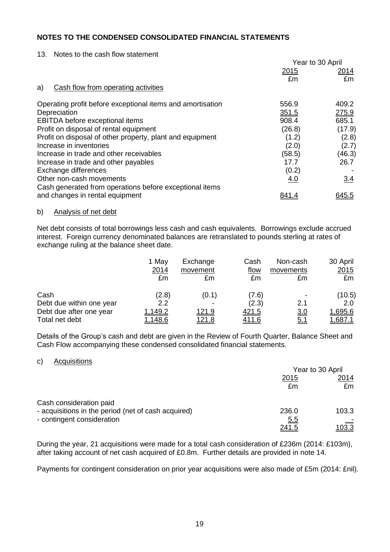#### 13. Notes to the cash flow statement

|                                                            | Year to 30 April |              |
|------------------------------------------------------------|------------------|--------------|
|                                                            | 2015             | <u> 2014</u> |
|                                                            | £m               | £m           |
| Cash flow from operating activities<br>a)                  |                  |              |
| Operating profit before exceptional items and amortisation | 556.9            | 409.2        |
| Depreciation                                               | 351.5            | 275.9        |
| EBITDA before exceptional items                            | 908.4            | 685.1        |
| Profit on disposal of rental equipment                     | (26.8)           | (17.9)       |
| Profit on disposal of other property, plant and equipment  | (1.2)            | (2.8)        |
| Increase in inventories                                    | (2.0)            | (2.7)        |
| Increase in trade and other receivables                    | (58.5)           | (46.3)       |
| Increase in trade and other payables                       | 17.7             | 26.7         |
| Exchange differences                                       | (0.2)            |              |
| Other non-cash movements                                   | 4.0              | 3.4          |
| Cash generated from operations before exceptional items    |                  |              |
| and changes in rental equipment                            |                  | <u>645.5</u> |

#### b) Analysis of net debt

Net debt consists of total borrowings less cash and cash equivalents. Borrowings exclude accrued interest. Foreign currency denominated balances are retranslated to pounds sterling at rates of exchange ruling at the balance sheet date.

|                          | 1 May<br>2014<br>£m | Exchange<br>movement<br>£m | Cash<br>flow<br>£m | Non-cash<br>movements<br>£m | 30 April<br>2015<br>£m |
|--------------------------|---------------------|----------------------------|--------------------|-----------------------------|------------------------|
| Cash                     | (2.8)               | (0.1)                      | (7.6)              |                             | (10.5)                 |
| Debt due within one year | 2.2                 |                            | (2.3)              | 2.1                         | 2.0                    |
| Debt due after one year  | 1,149.2             | 121.9                      | <u>421.5</u>       | 3.0                         | 1,695.6                |
| Total net debt           | 1,148.6             | <u> 121.8</u>              | 411.6              | <u>5.1</u>                  | <u>1.687.1</u>         |

Details of the Group's cash and debt are given in the Review of Fourth Quarter, Balance Sheet and Cash Flow accompanying these condensed consolidated financial statements.

#### c) Acquisitions

|                                                     | Year to 30 April |               |  |
|-----------------------------------------------------|------------------|---------------|--|
|                                                     | 2015             | 2014          |  |
|                                                     | £m               | £m            |  |
| Cash consideration paid                             |                  |               |  |
| - acquisitions in the period (net of cash acquired) | 236.0            | 103.3         |  |
| - contingent consideration                          | <u>5.5</u>       |               |  |
|                                                     | <u>241.5</u>     | <u> 103.3</u> |  |

During the year, 21 acquisitions were made for a total cash consideration of £236m (2014: £103m), after taking account of net cash acquired of £0.8m. Further details are provided in note 14.

Payments for contingent consideration on prior year acquisitions were also made of £5m (2014: £nil).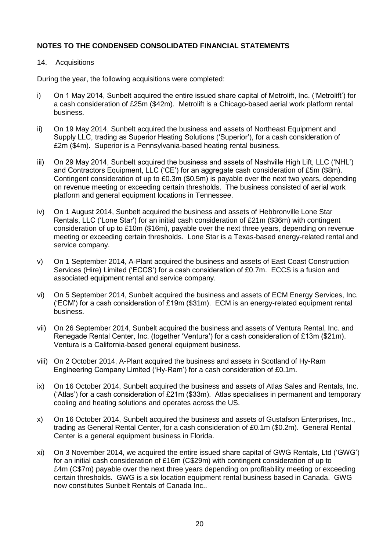#### 14. Acquisitions

During the year, the following acquisitions were completed:

- i) On 1 May 2014, Sunbelt acquired the entire issued share capital of Metrolift, Inc. ('Metrolift') for a cash consideration of £25m (\$42m). Metrolift is a Chicago-based aerial work platform rental business.
- ii) On 19 May 2014, Sunbelt acquired the business and assets of Northeast Equipment and Supply LLC, trading as Superior Heating Solutions ('Superior'), for a cash consideration of £2m (\$4m). Superior is a Pennsylvania-based heating rental business.
- iii) On 29 May 2014, Sunbelt acquired the business and assets of Nashville High Lift, LLC ('NHL') and Contractors Equipment, LLC ('CE') for an aggregate cash consideration of £5m (\$8m). Contingent consideration of up to £0.3m (\$0.5m) is payable over the next two years, depending on revenue meeting or exceeding certain thresholds. The business consisted of aerial work platform and general equipment locations in Tennessee.
- iv) On 1 August 2014, Sunbelt acquired the business and assets of Hebbronville Lone Star Rentals, LLC ('Lone Star') for an initial cash consideration of £21m (\$36m) with contingent consideration of up to £10m (\$16m), payable over the next three years, depending on revenue meeting or exceeding certain thresholds. Lone Star is a Texas-based energy-related rental and service company.
- v) On 1 September 2014, A-Plant acquired the business and assets of East Coast Construction Services (Hire) Limited ('ECCS') for a cash consideration of £0.7m. ECCS is a fusion and associated equipment rental and service company.
- vi) On 5 September 2014, Sunbelt acquired the business and assets of ECM Energy Services, Inc. ('ECM') for a cash consideration of £19m (\$31m). ECM is an energy-related equipment rental business.
- vii) On 26 September 2014, Sunbelt acquired the business and assets of Ventura Rental, Inc. and Renegade Rental Center, Inc. (together 'Ventura') for a cash consideration of £13m (\$21m). Ventura is a California-based general equipment business.
- viii) On 2 October 2014, A-Plant acquired the business and assets in Scotland of Hy-Ram Engineering Company Limited ('Hy-Ram') for a cash consideration of £0.1m.
- ix) On 16 October 2014, Sunbelt acquired the business and assets of Atlas Sales and Rentals, Inc. ('Atlas') for a cash consideration of £21m (\$33m). Atlas specialises in permanent and temporary cooling and heating solutions and operates across the US.
- x) On 16 October 2014, Sunbelt acquired the business and assets of Gustafson Enterprises, Inc., trading as General Rental Center, for a cash consideration of £0.1m (\$0.2m). General Rental Center is a general equipment business in Florida.
- xi) On 3 November 2014, we acquired the entire issued share capital of GWG Rentals, Ltd ('GWG') for an initial cash consideration of £16m (C\$29m) with contingent consideration of up to £4m (C\$7m) payable over the next three years depending on profitability meeting or exceeding certain thresholds. GWG is a six location equipment rental business based in Canada. GWG now constitutes Sunbelt Rentals of Canada Inc..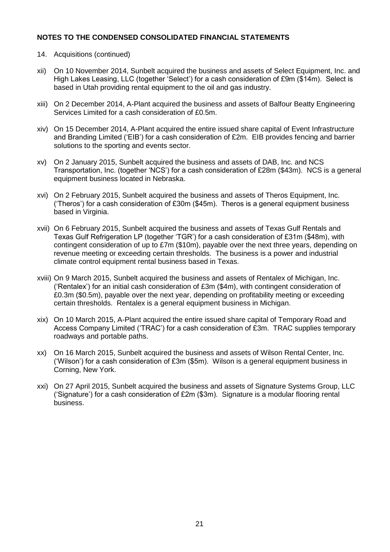## 14. Acquisitions (continued)

- xii) On 10 November 2014, Sunbelt acquired the business and assets of Select Equipment, Inc. and High Lakes Leasing, LLC (together 'Select') for a cash consideration of £9m (\$14m). Select is based in Utah providing rental equipment to the oil and gas industry.
- xiii) On 2 December 2014, A-Plant acquired the business and assets of Balfour Beatty Engineering Services Limited for a cash consideration of £0.5m.
- xiv) On 15 December 2014, A-Plant acquired the entire issued share capital of Event Infrastructure and Branding Limited ('EIB') for a cash consideration of £2m. EIB provides fencing and barrier solutions to the sporting and events sector.
- xv) On 2 January 2015, Sunbelt acquired the business and assets of DAB, Inc. and NCS Transportation, Inc. (together 'NCS') for a cash consideration of £28m (\$43m). NCS is a general equipment business located in Nebraska.
- xvi) On 2 February 2015, Sunbelt acquired the business and assets of Theros Equipment, Inc. ('Theros') for a cash consideration of £30m (\$45m). Theros is a general equipment business based in Virginia.
- xvii) On 6 February 2015, Sunbelt acquired the business and assets of Texas Gulf Rentals and Texas Gulf Refrigeration LP (together 'TGR') for a cash consideration of £31m (\$48m), with contingent consideration of up to £7m (\$10m), payable over the next three years, depending on revenue meeting or exceeding certain thresholds. The business is a power and industrial climate control equipment rental business based in Texas.
- xviii) On 9 March 2015, Sunbelt acquired the business and assets of Rentalex of Michigan, Inc. ('Rentalex') for an initial cash consideration of £3m (\$4m), with contingent consideration of £0.3m (\$0.5m), payable over the next year, depending on profitability meeting or exceeding certain thresholds. Rentalex is a general equipment business in Michigan.
- xix) On 10 March 2015, A-Plant acquired the entire issued share capital of Temporary Road and Access Company Limited ('TRAC') for a cash consideration of £3m. TRAC supplies temporary roadways and portable paths.
- xx) On 16 March 2015, Sunbelt acquired the business and assets of Wilson Rental Center, Inc. ('Wilson') for a cash consideration of £3m (\$5m). Wilson is a general equipment business in Corning, New York.
- xxi) On 27 April 2015, Sunbelt acquired the business and assets of Signature Systems Group, LLC ('Signature') for a cash consideration of £2m (\$3m). Signature is a modular flooring rental business.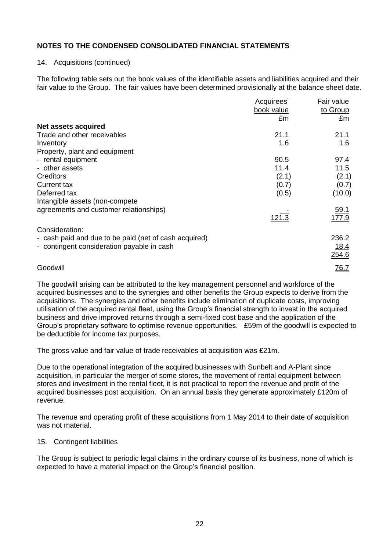#### 14. Acquisitions (continued)

The following table sets out the book values of the identifiable assets and liabilities acquired and their fair value to the Group. The fair values have been determined provisionally at the balance sheet date.

|                                                       | Acquirees' | Fair value  |
|-------------------------------------------------------|------------|-------------|
|                                                       | book value | to Group    |
|                                                       | £m         | £m          |
| Net assets acquired                                   |            |             |
| Trade and other receivables                           | 21.1       | 21.1        |
| Inventory                                             | 1.6        | 1.6         |
| Property, plant and equipment                         |            |             |
| - rental equipment                                    | 90.5       | 97.4        |
| - other assets                                        | 11.4       | 11.5        |
| Creditors                                             | (2.1)      | (2.1)       |
| Current tax                                           | (0.7)      | (0.7)       |
| Deferred tax                                          | (0.5)      | (10.0)      |
| Intangible assets (non-compete                        |            |             |
| agreements and customer relationships)                |            | <u>59.1</u> |
|                                                       |            | 177.9       |
| Consideration:                                        |            |             |
| - cash paid and due to be paid (net of cash acquired) |            | 236.2       |
| - contingent consideration payable in cash            |            | 18.4        |
|                                                       |            | 254.6       |
| Goodwill                                              |            | <u>76.7</u> |

The goodwill arising can be attributed to the key management personnel and workforce of the acquired businesses and to the synergies and other benefits the Group expects to derive from the acquisitions. The synergies and other benefits include elimination of duplicate costs, improving utilisation of the acquired rental fleet, using the Group's financial strength to invest in the acquired business and drive improved returns through a semi-fixed cost base and the application of the Group's proprietary software to optimise revenue opportunities. £59m of the goodwill is expected to be deductible for income tax purposes.

The gross value and fair value of trade receivables at acquisition was £21m.

Due to the operational integration of the acquired businesses with Sunbelt and A-Plant since acquisition, in particular the merger of some stores, the movement of rental equipment between stores and investment in the rental fleet, it is not practical to report the revenue and profit of the acquired businesses post acquisition. On an annual basis they generate approximately £120m of revenue.

The revenue and operating profit of these acquisitions from 1 May 2014 to their date of acquisition was not material.

#### 15. Contingent liabilities

The Group is subject to periodic legal claims in the ordinary course of its business, none of which is expected to have a material impact on the Group's financial position.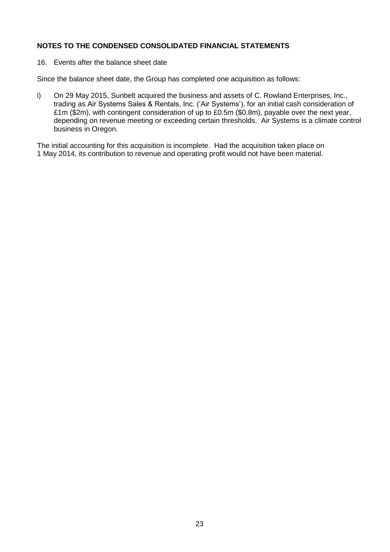16. Events after the balance sheet date

Since the balance sheet date, the Group has completed one acquisition as follows:

i) On 29 May 2015, Sunbelt acquired the business and assets of C. Rowland Enterprises, Inc., trading as Air Systems Sales & Rentals, Inc. ('Air Systems'), for an initial cash consideration of £1m (\$2m), with contingent consideration of up to £0.5m (\$0.8m), payable over the next year, depending on revenue meeting or exceeding certain thresholds. Air Systems is a climate control business in Oregon.

The initial accounting for this acquisition is incomplete. Had the acquisition taken place on 1 May 2014, its contribution to revenue and operating profit would not have been material.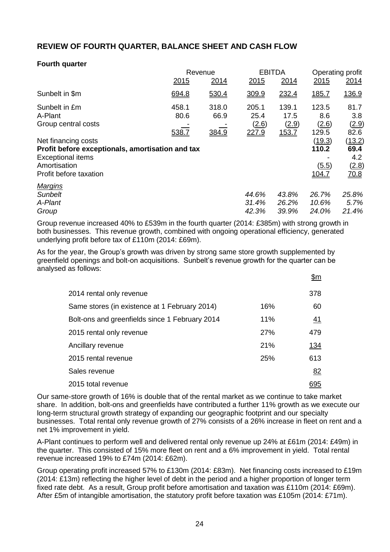# **REVIEW OF FOURTH QUARTER, BALANCE SHEET AND CASH FLOW**

## **Fourth quarter**

|                                                                                                                                               |               | Revenue       |                         | <b>EBITDA</b>           |                                                   | Operating profit                                      |  |
|-----------------------------------------------------------------------------------------------------------------------------------------------|---------------|---------------|-------------------------|-------------------------|---------------------------------------------------|-------------------------------------------------------|--|
|                                                                                                                                               | 2015          | 2014          | 2015                    | 2014                    | 2015                                              | 2014                                                  |  |
| Sunbelt in \$m                                                                                                                                | 694.8         | 530.4         | 309.9                   | 232.4                   | <u>185.7</u>                                      | <u>136.9</u>                                          |  |
| Sunbelt in £m<br>A-Plant<br>Group central costs                                                                                               | 458.1<br>80.6 | 318.0<br>66.9 | 205.1<br>25.4<br>(2.6)  | 139.1<br>17.5<br>(2.9)  | 123.5<br>8.6<br>(2.6)                             | 81.7<br>3.8<br>(2.9)                                  |  |
| Net financing costs<br>Profit before exceptionals, amortisation and tax<br><b>Exceptional items</b><br>Amortisation<br>Profit before taxation | 538.7         | 384.9         | 227.9                   | 153.7                   | 129.5<br>(19.3)<br>110.2<br>(5.5)<br><u>104.7</u> | 82.6<br>(13.2)<br>69.4<br>4.2<br>(2.8)<br><u>70.8</u> |  |
| <b>Margins</b><br><b>Sunbelt</b><br>A-Plant<br>Group                                                                                          |               |               | 44.6%<br>31.4%<br>42.3% | 43.8%<br>26.2%<br>39.9% | 26.7%<br>10.6%<br>24.0%                           | 25.8%<br>5.7%<br>21.4%                                |  |

Group revenue increased 40% to £539m in the fourth quarter (2014: £385m) with strong growth in both businesses. This revenue growth, combined with ongoing operational efficiency, generated underlying profit before tax of £110m (2014: £69m).

As for the year, the Group's growth was driven by strong same store growth supplemented by greenfield openings and bolt-on acquisitions. Sunbelt's revenue growth for the quarter can be analysed as follows:  $\mathbf{r}$ 

|                                                |     | <u> דוות</u> |
|------------------------------------------------|-----|--------------|
| 2014 rental only revenue                       |     | 378          |
| Same stores (in existence at 1 February 2014)  | 16% | 60           |
| Bolt-ons and greenfields since 1 February 2014 | 11% | <u>41</u>    |
| 2015 rental only revenue                       | 27% | 479          |
| Ancillary revenue                              | 21% | <u> 134</u>  |
| 2015 rental revenue                            | 25% | 613          |
| Sales revenue                                  |     | 82           |
| 2015 total revenue                             |     |              |

Our same-store growth of 16% is double that of the rental market as we continue to take market share. In addition, bolt-ons and greenfields have contributed a further 11% growth as we execute our long-term structural growth strategy of expanding our geographic footprint and our specialty businesses. Total rental only revenue growth of 27% consists of a 26% increase in fleet on rent and a net 1% improvement in yield.

A-Plant continues to perform well and delivered rental only revenue up 24% at £61m (2014: £49m) in the quarter. This consisted of 15% more fleet on rent and a 6% improvement in yield. Total rental revenue increased 19% to £74m (2014: £62m).

Group operating profit increased 57% to £130m (2014: £83m). Net financing costs increased to £19m (2014: £13m) reflecting the higher level of debt in the period and a higher proportion of longer term fixed rate debt. As a result, Group profit before amortisation and taxation was £110m (2014: £69m). After £5m of intangible amortisation, the statutory profit before taxation was £105m (2014: £71m).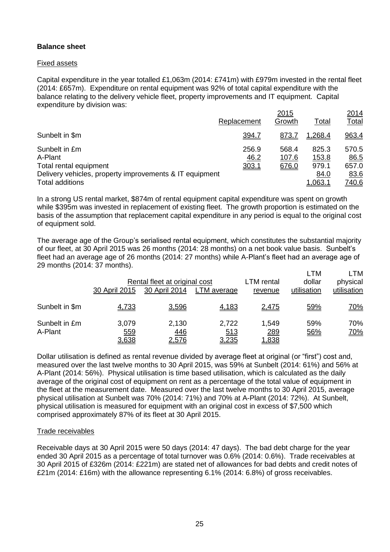## **Balance sheet**

## Fixed assets

Capital expenditure in the year totalled £1,063m (2014: £741m) with £979m invested in the rental fleet (2014: £657m). Expenditure on rental equipment was 92% of total capital expenditure with the balance relating to the delivery vehicle fleet, property improvements and IT equipment. Capital expenditure by division was:

|                                                         |               | 2015           |                | <u> 2014</u>  |
|---------------------------------------------------------|---------------|----------------|----------------|---------------|
|                                                         | Replacement   | Growth         | <u>Total</u>   | <b>Total</b>  |
| Sunbelt in \$m                                          | 394.7         | 873.7          | 1,268.4        | 963.4         |
| Sunbelt in £m<br>A-Plant                                | 256.9<br>46.2 | 568.4<br>107.6 | 825.3<br>153.8 | 570.5<br>86.5 |
| Total rental equipment                                  | 303.1         | 676.0          | 979.1          | 657.0         |
| Delivery vehicles, property improvements & IT equipment |               |                | 84.0           | 83.6          |
| <b>Total additions</b>                                  |               |                | 1.063.1        | <u>740.6</u>  |

In a strong US rental market, \$874m of rental equipment capital expenditure was spent on growth while \$395m was invested in replacement of existing fleet. The growth proportion is estimated on the basis of the assumption that replacement capital expenditure in any period is equal to the original cost of equipment sold.

The average age of the Group's serialised rental equipment, which constitutes the substantial majority of our fleet, at 30 April 2015 was 26 months (2014: 28 months) on a net book value basis. Sunbelt's fleet had an average age of 26 months (2014: 27 months) while A-Plant's fleet had an average age of 29 months (2014: 37 months). LTM LTM

|                          | 30 April 2015         | Rental fleet at original cost<br>30 April 2014 | LTM average                  | <b>LTM</b> rental<br>revenue | <b>LIVI</b><br>dollar<br>utilisation | <b>LIVI</b><br>physical<br>utilisation |
|--------------------------|-----------------------|------------------------------------------------|------------------------------|------------------------------|--------------------------------------|----------------------------------------|
| Sunbelt in \$m           | 4,733                 | 3,596                                          | 4,183                        | 2,475                        | 59%                                  | <u>70%</u>                             |
| Sunbelt in £m<br>A-Plant | 3,079<br>559<br>3,638 | 2,130<br>446<br><u>2,576</u>                   | 2,722<br>513<br><u>3,235</u> | 1,549<br>289<br><u>838، </u> | 59%<br>56%                           | 70%<br><u>70%</u>                      |

Dollar utilisation is defined as rental revenue divided by average fleet at original (or "first") cost and, measured over the last twelve months to 30 April 2015, was 59% at Sunbelt (2014: 61%) and 56% at A-Plant (2014: 56%). Physical utilisation is time based utilisation, which is calculated as the daily average of the original cost of equipment on rent as a percentage of the total value of equipment in the fleet at the measurement date. Measured over the last twelve months to 30 April 2015, average physical utilisation at Sunbelt was 70% (2014: 71%) and 70% at A-Plant (2014: 72%). At Sunbelt, physical utilisation is measured for equipment with an original cost in excess of \$7,500 which comprised approximately 87% of its fleet at 30 April 2015.

#### Trade receivables

Receivable days at 30 April 2015 were 50 days (2014: 47 days). The bad debt charge for the year ended 30 April 2015 as a percentage of total turnover was 0.6% (2014: 0.6%). Trade receivables at 30 April 2015 of £326m (2014: £221m) are stated net of allowances for bad debts and credit notes of £21m (2014: £16m) with the allowance representing 6.1% (2014: 6.8%) of gross receivables.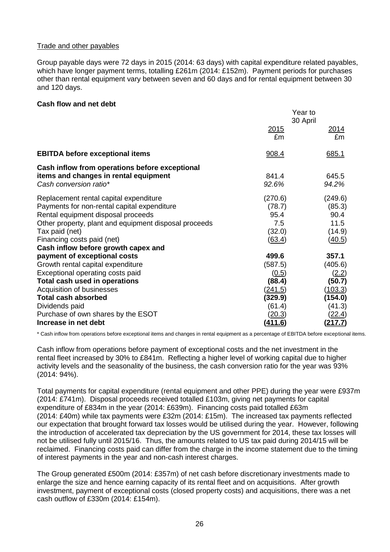## Trade and other payables

Group payable days were 72 days in 2015 (2014: 63 days) with capital expenditure related payables, which have longer payment terms, totalling £261m (2014: £152m). Payment periods for purchases other than rental equipment vary between seven and 60 days and for rental equipment between 30 and 120 days.

#### **Cash flow and net debt**

|                                                       |                | Year to        |
|-------------------------------------------------------|----------------|----------------|
|                                                       |                | 30 April       |
|                                                       | <u>2015</u>    | <u> 2014</u>   |
|                                                       | £m             | £m             |
| <b>EBITDA before exceptional items</b>                | 908.4          | 685.1          |
| Cash inflow from operations before exceptional        |                |                |
| items and changes in rental equipment                 | 841.4          | 645.5          |
| Cash conversion ratio*                                | 92.6%          | 94.2%          |
| Replacement rental capital expenditure                | (270.6)        | (249.6)        |
| Payments for non-rental capital expenditure           | (78.7)         | (85.3)         |
| Rental equipment disposal proceeds                    | 95.4           | 90.4           |
| Other property, plant and equipment disposal proceeds | 7.5            | 11.5           |
| Tax paid (net)                                        | (32.0)         | (14.9)         |
| Financing costs paid (net)                            | (63.4)         | (40.5)         |
| Cash inflow before growth capex and                   |                |                |
| payment of exceptional costs                          | 499.6          | 357.1          |
| Growth rental capital expenditure                     | (587.5)        | (405.6)        |
| Exceptional operating costs paid                      | (0.5)          | (2.2)          |
| Total cash used in operations                         | (88.4)         | (50.7)         |
| Acquisition of businesses                             | <u>(241.5)</u> | (103.3)        |
| <b>Total cash absorbed</b>                            | (329.9)        | (154.0)        |
| Dividends paid                                        | (61.4)         | (41.3)         |
| Purchase of own shares by the ESOT                    | <u>(20.3)</u>  | <u>(22.4)</u>  |
| Increase in net debt                                  | <u>(411.6)</u> | <u>(217.7)</u> |

\* Cash inflow from operations before exceptional items and changes in rental equipment as a percentage of EBITDA before exceptional items.

Cash inflow from operations before payment of exceptional costs and the net investment in the rental fleet increased by 30% to £841m. Reflecting a higher level of working capital due to higher activity levels and the seasonality of the business, the cash conversion ratio for the year was 93% (2014: 94%).

Total payments for capital expenditure (rental equipment and other PPE) during the year were £937m (2014: £741m). Disposal proceeds received totalled £103m, giving net payments for capital expenditure of £834m in the year (2014: £639m). Financing costs paid totalled £63m (2014: £40m) while tax payments were £32m (2014: £15m). The increased tax payments reflected our expectation that brought forward tax losses would be utilised during the year. However, following the introduction of accelerated tax depreciation by the US government for 2014, these tax losses will not be utilised fully until 2015/16. Thus, the amounts related to US tax paid during 2014/15 will be reclaimed. Financing costs paid can differ from the charge in the income statement due to the timing of interest payments in the year and non-cash interest charges.

The Group generated £500m (2014: £357m) of net cash before discretionary investments made to enlarge the size and hence earning capacity of its rental fleet and on acquisitions. After growth investment, payment of exceptional costs (closed property costs) and acquisitions, there was a net cash outflow of £330m (2014: £154m).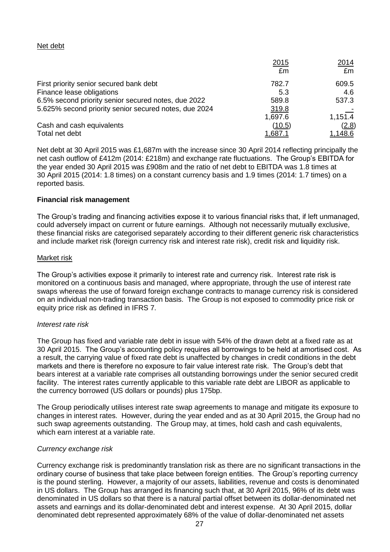## Net debt

|                                                       | 2015    | 2014    |
|-------------------------------------------------------|---------|---------|
|                                                       | £m      | £m      |
| First priority senior secured bank debt               | 782.7   | 609.5   |
| Finance lease obligations                             | 5.3     | 4.6     |
| 6.5% second priority senior secured notes, due 2022   | 589.8   | 537.3   |
| 5.625% second priority senior secured notes, due 2024 | 319.8   |         |
|                                                       | 1,697.6 | 1,151.4 |
| Cash and cash equivalents                             | (10.5)  | (2.8)   |
| Total net debt                                        | .687.   | 1,148.6 |

Net debt at 30 April 2015 was £1,687m with the increase since 30 April 2014 reflecting principally the net cash outflow of £412m (2014: £218m) and exchange rate fluctuations. The Group's EBITDA for the year ended 30 April 2015 was £908m and the ratio of net debt to EBITDA was 1.8 times at 30 April 2015 (2014: 1.8 times) on a constant currency basis and 1.9 times (2014: 1.7 times) on a reported basis.

#### **Financial risk management**

The Group's trading and financing activities expose it to various financial risks that, if left unmanaged, could adversely impact on current or future earnings. Although not necessarily mutually exclusive, these financial risks are categorised separately according to their different generic risk characteristics and include market risk (foreign currency risk and interest rate risk), credit risk and liquidity risk.

#### Market risk

The Group's activities expose it primarily to interest rate and currency risk. Interest rate risk is monitored on a continuous basis and managed, where appropriate, through the use of interest rate swaps whereas the use of forward foreign exchange contracts to manage currency risk is considered on an individual non-trading transaction basis. The Group is not exposed to commodity price risk or equity price risk as defined in IFRS 7.

#### *Interest rate risk*

The Group has fixed and variable rate debt in issue with 54% of the drawn debt at a fixed rate as at 30 April 2015. The Group's accounting policy requires all borrowings to be held at amortised cost. As a result, the carrying value of fixed rate debt is unaffected by changes in credit conditions in the debt markets and there is therefore no exposure to fair value interest rate risk. The Group's debt that bears interest at a variable rate comprises all outstanding borrowings under the senior secured credit facility. The interest rates currently applicable to this variable rate debt are LIBOR as applicable to the currency borrowed (US dollars or pounds) plus 175bp.

The Group periodically utilises interest rate swap agreements to manage and mitigate its exposure to changes in interest rates. However, during the year ended and as at 30 April 2015, the Group had no such swap agreements outstanding. The Group may, at times, hold cash and cash equivalents, which earn interest at a variable rate.

#### *Currency exchange risk*

Currency exchange risk is predominantly translation risk as there are no significant transactions in the ordinary course of business that take place between foreign entities. The Group's reporting currency is the pound sterling. However, a majority of our assets, liabilities, revenue and costs is denominated in US dollars. The Group has arranged its financing such that, at 30 April 2015, 96% of its debt was denominated in US dollars so that there is a natural partial offset between its dollar-denominated net assets and earnings and its dollar-denominated debt and interest expense. At 30 April 2015, dollar denominated debt represented approximately 68% of the value of dollar-denominated net assets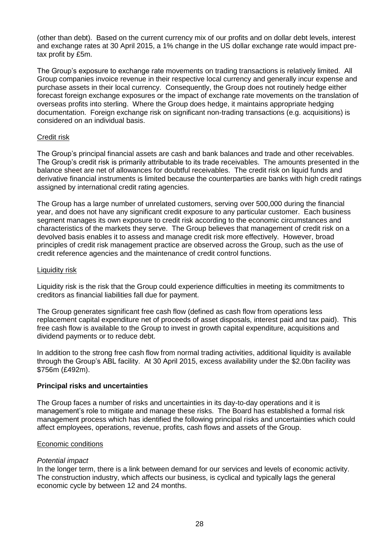(other than debt). Based on the current currency mix of our profits and on dollar debt levels, interest and exchange rates at 30 April 2015, a 1% change in the US dollar exchange rate would impact pretax profit by £5m.

The Group's exposure to exchange rate movements on trading transactions is relatively limited. All Group companies invoice revenue in their respective local currency and generally incur expense and purchase assets in their local currency. Consequently, the Group does not routinely hedge either forecast foreign exchange exposures or the impact of exchange rate movements on the translation of overseas profits into sterling. Where the Group does hedge, it maintains appropriate hedging documentation. Foreign exchange risk on significant non-trading transactions (e.g. acquisitions) is considered on an individual basis.

#### Credit risk

The Group's principal financial assets are cash and bank balances and trade and other receivables. The Group's credit risk is primarily attributable to its trade receivables. The amounts presented in the balance sheet are net of allowances for doubtful receivables. The credit risk on liquid funds and derivative financial instruments is limited because the counterparties are banks with high credit ratings assigned by international credit rating agencies.

The Group has a large number of unrelated customers, serving over 500,000 during the financial year, and does not have any significant credit exposure to any particular customer. Each business segment manages its own exposure to credit risk according to the economic circumstances and characteristics of the markets they serve. The Group believes that management of credit risk on a devolved basis enables it to assess and manage credit risk more effectively. However, broad principles of credit risk management practice are observed across the Group, such as the use of credit reference agencies and the maintenance of credit control functions.

#### Liquidity risk

Liquidity risk is the risk that the Group could experience difficulties in meeting its commitments to creditors as financial liabilities fall due for payment.

The Group generates significant free cash flow (defined as cash flow from operations less replacement capital expenditure net of proceeds of asset disposals, interest paid and tax paid). This free cash flow is available to the Group to invest in growth capital expenditure, acquisitions and dividend payments or to reduce debt.

In addition to the strong free cash flow from normal trading activities, additional liquidity is available through the Group's ABL facility. At 30 April 2015, excess availability under the \$2.0bn facility was \$756m (£492m).

#### **Principal risks and uncertainties**

The Group faces a number of risks and uncertainties in its day-to-day operations and it is management's role to mitigate and manage these risks. The Board has established a formal risk management process which has identified the following principal risks and uncertainties which could affect employees, operations, revenue, profits, cash flows and assets of the Group.

#### Economic conditions

#### *Potential impact*

In the longer term, there is a link between demand for our services and levels of economic activity. The construction industry, which affects our business, is cyclical and typically lags the general economic cycle by between 12 and 24 months.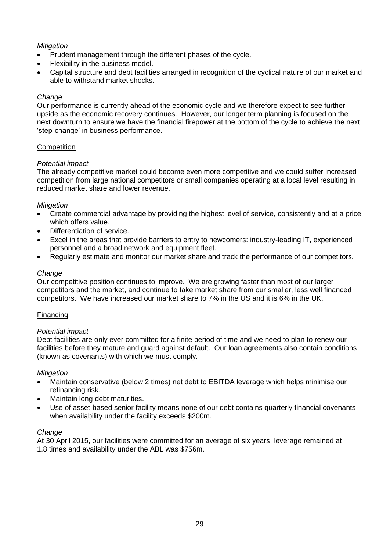# *Mitigation*

- Prudent management through the different phases of the cycle.
- Flexibility in the business model.
- Capital structure and debt facilities arranged in recognition of the cyclical nature of our market and able to withstand market shocks.

## *Change*

Our performance is currently ahead of the economic cycle and we therefore expect to see further upside as the economic recovery continues. However, our longer term planning is focused on the next downturn to ensure we have the financial firepower at the bottom of the cycle to achieve the next 'step-change' in business performance.

#### **Competition**

## *Potential impact*

The already competitive market could become even more competitive and we could suffer increased competition from large national competitors or small companies operating at a local level resulting in reduced market share and lower revenue.

## *Mitigation*

- Create commercial advantage by providing the highest level of service, consistently and at a price which offers value.
- Differentiation of service.
- Excel in the areas that provide barriers to entry to newcomers: industry-leading IT, experienced personnel and a broad network and equipment fleet.
- Regularly estimate and monitor our market share and track the performance of our competitors.

## *Change*

Our competitive position continues to improve. We are growing faster than most of our larger competitors and the market, and continue to take market share from our smaller, less well financed competitors. We have increased our market share to 7% in the US and it is 6% in the UK.

#### **Financing**

#### *Potential impact*

Debt facilities are only ever committed for a finite period of time and we need to plan to renew our facilities before they mature and guard against default. Our loan agreements also contain conditions (known as covenants) with which we must comply.

#### *Mitigation*

- Maintain conservative (below 2 times) net debt to EBITDA leverage which helps minimise our refinancing risk.
- Maintain long debt maturities.
- Use of asset-based senior facility means none of our debt contains quarterly financial covenants when availability under the facility exceeds \$200m.

#### *Change*

At 30 April 2015, our facilities were committed for an average of six years, leverage remained at 1.8 times and availability under the ABL was \$756m.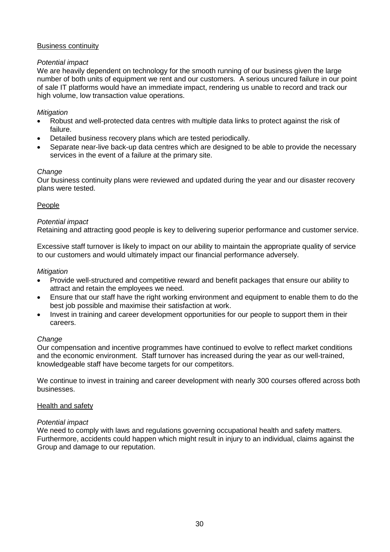## Business continuity

## *Potential impact*

We are heavily dependent on technology for the smooth running of our business given the large number of both units of equipment we rent and our customers. A serious uncured failure in our point of sale IT platforms would have an immediate impact, rendering us unable to record and track our high volume, low transaction value operations.

# *Mitigation*

- Robust and well-protected data centres with multiple data links to protect against the risk of failure.
- Detailed business recovery plans which are tested periodically.
- Separate near-live back-up data centres which are designed to be able to provide the necessary services in the event of a failure at the primary site.

## *Change*

Our business continuity plans were reviewed and updated during the year and our disaster recovery plans were tested.

## People

## *Potential impact*

Retaining and attracting good people is key to delivering superior performance and customer service.

Excessive staff turnover is likely to impact on our ability to maintain the appropriate quality of service to our customers and would ultimately impact our financial performance adversely.

#### *Mitigation*

- Provide well-structured and competitive reward and benefit packages that ensure our ability to attract and retain the employees we need.
- Ensure that our staff have the right working environment and equipment to enable them to do the best job possible and maximise their satisfaction at work.
- Invest in training and career development opportunities for our people to support them in their careers.

#### *Change*

Our compensation and incentive programmes have continued to evolve to reflect market conditions and the economic environment. Staff turnover has increased during the year as our well-trained, knowledgeable staff have become targets for our competitors.

We continue to invest in training and career development with nearly 300 courses offered across both businesses.

#### Health and safety

#### *Potential impact*

We need to comply with laws and regulations governing occupational health and safety matters. Furthermore, accidents could happen which might result in injury to an individual, claims against the Group and damage to our reputation.